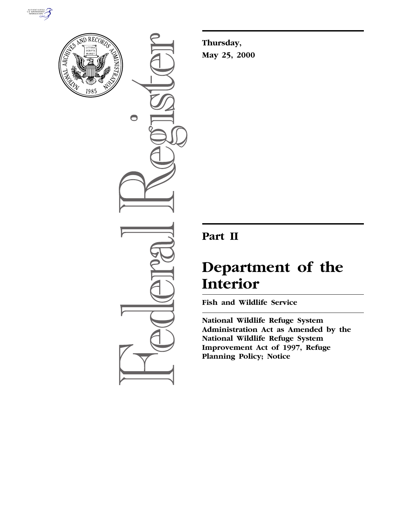



 $\bigcirc$ 

**Thursday, May 25, 2000**

## **Part II**

# **Department of the Interior**

**Fish and Wildlife Service**

**National Wildlife Refuge System Administration Act as Amended by the National Wildlife Refuge System Improvement Act of 1997, Refuge Planning Policy; Notice**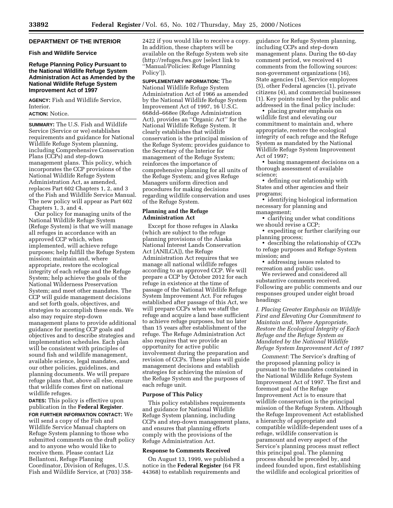#### **DEPARTMENT OF THE INTERIOR**

#### **Fish and Wildlife Service**

#### **Refuge Planning Policy Pursuant to the National Wildlife Refuge System Administration Act as Amended by the National Wildlife Refuge System Improvement Act of 1997**

**AGENCY:** Fish and Wildlife Service, Interior.

#### **ACTION:** Notice.

**SUMMARY:** The U.S. Fish and Wildlife Service (Service or we) establishes requirements and guidance for National Wildlife Refuge System planning, including Comprehensive Conservation Plans (CCPs) and step-down management plans. This policy, which incorporates the CCP provisions of the National Wildlife Refuge System Administration Act, as amended, replaces Part 602 Chapters 1, 2, and 3 of the Fish and Wildlife Service Manual. The new policy will appear as Part 602 Chapters 1, 3, and 4.

Our policy for managing units of the National Wildlife Refuge System (Refuge System) is that we will manage all refuges in accordance with an approved CCP which, when implemented, will achieve refuge purposes; help fulfill the Refuge System mission; maintain and, where appropriate, restore the ecological integrity of each refuge and the Refuge System; help achieve the goals of the National Wilderness Preservation System; and meet other mandates. The CCP will guide management decisions and set forth goals, objectives, and strategies to accomplish these ends. We also may require step-down management plans to provide additional guidance for meeting CCP goals and objectives and to describe strategies and implementation schedules. Each plan will be consistent with principles of sound fish and wildlife management, available science, legal mandates, and our other policies, guidelines, and planning documents. We will prepare refuge plans that, above all else, ensure that wildlife comes first on national wildlife refuges.

**DATES:** This policy is effective upon publication in the **Federal Register**.

**FOR FURTHER INFORMATION CONTACT:** We will send a copy of the Fish and Wildlife Service Manual chapters on Refuge System planning to those who submitted comments on the draft policy and to anyone who would like to receive them. Please contact Liz Bellantoni, Refuge Planning Coordinator, Division of Refuges, U.S. Fish and Wildlife Service, at (703) 3582422 if you would like to receive a copy. In addition, these chapters will be available on the Refuge System web site (http://refuges.fws.gov [select link to ''Manual/Policies: Refuge Planning Policy']).

**SUPPLEMENTARY INFORMATION:** The National Wildlife Refuge System Administration Act of 1966 as amended by the National Wildlife Refuge System Improvement Act of 1997, 16 U.S.C. 668dd–668ee (Refuge Administration Act), provides an ''Organic Act'' for the National Wildlife Refuge System. It clearly establishes that wildlife conservation is the principal mission of the Refuge System; provides guidance to the Secretary of the Interior for management of the Refuge System; reinforces the importance of comprehensive planning for all units of the Refuge System; and gives Refuge Managers uniform direction and procedures for making decisions regarding wildlife conservation and uses of the Refuge System.

#### **Planning and the Refuge Administration Act**

Except for those refuges in Alaska (which are subject to the refuge planning provisions of the Alaska National Interest Lands Conservation Act [ANILCA]), the Refuge Administration Act requires that we manage all national wildlife refuges according to an approved CCP. We will prepare a CCP by October 2012 for each refuge in existence at the time of passage of the National Wildlife Refuge System Improvement Act. For refuges established after passage of this Act, we will prepare CCPs when we staff the refuge and acquire a land base sufficient to achieve refuge purposes, but no later than 15 years after establishment of the refuge. The Refuge Administration Act also requires that we provide an opportunity for active public involvement during the preparation and revision of CCPs. These plans will guide management decisions and establish strategies for achieving the mission of the Refuge System and the purposes of each refuge unit.

#### **Purpose of This Policy**

This policy establishes requirements and guidance for National Wildlife Refuge System planning, including CCPs and step-down management plans, and ensures that planning efforts comply with the provisions of the Refuge Administration Act.

#### **Response to Comments Received**

On August 13, 1999, we published a notice in the **Federal Register** (64 FR 44368) to establish requirements and

guidance for Refuge System planning, including CCPs and step-down management plans. During the 60-day comment period, we received 41 comments from the following sources: non-government organizations (16), State agencies (14), Service employees (5), other Federal agencies (1), private citizens (4), and commercial businesses (1). Key points raised by the public and addressed in the final policy include:

• placing greater emphasis on wildlife first and elevating our commitment to maintain and, where appropriate, restore the ecological integrity of each refuge and the Refuge System as mandated by the National Wildlife Refuge System Improvement Act of 1997;

• basing management decisions on a thorough assessment of available science;

• defining our relationship with States and other agencies and their programs;

• identifying biological information necessary for planning and management;

• clarifying under what conditions we should revise a CCP;

• expediting or further clarifying our planning process;

• describing the relationship of CCPs to refuge purposes and Refuge System mission; and

• addressing issues related to recreation and public use.

We reviewed and considered all substantive comments received. Following are public comments and our responses grouped under eight broad headings:

*I. Placing Greater Emphasis on Wildlife First and Elevating Our Commitment to Maintain and, Where Appropriate, Restore the Ecological Integrity of Each Refuge and the Refuge System as Mandated by the National Wildlife Refuge System Improvement Act of 1997*

*Comment:* The Service's drafting of the proposed planning policy is pursuant to the mandates contained in the National Wildlife Refuge System Improvement Act of 1997. The first and foremost goal of the Refuge Improvement Act is to ensure that wildlife conservation is the principal mission of the Refuge System. Although the Refuge Improvement Act established a hierarchy of appropriate and compatible wildlife-dependent uses of a refuge, wildlife conservation is paramount and every aspect of the Service's planning process must reflect this principal goal. The planning process should be preceded by, and indeed founded upon, first establishing the wildlife and ecological priorities of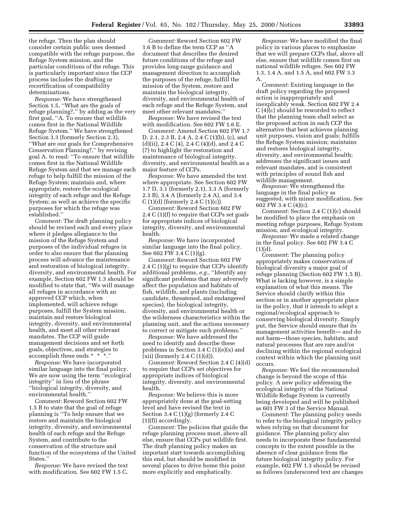the refuge. Then the plan should consider certain public uses deemed compatible with the refuge purpose, the Refuge System mission, and the particular conditions of the refuge. This is particularly important since the CCP process includes the drafting or recertification of compatibility determinations.

*Response:* We have strengthened Section 1.5, ''What are the goals of refuge planning?,'' by adding as the very first goal, ''A. To ensure that wildlife comes first in the National Wildlife Refuge System.'' We have strengthened Section 3.3 (formerly Section 2.3), ''What are our goals for Comprehensive Conservation Planning?,'' by revising goal A. to read: ''To ensure that wildlife comes first in the National Wildlife Refuge System and that we manage each refuge to help fulfill the mission of the Refuge System; maintain and, where appropriate, restore the ecological integrity of each refuge and the Refuge System; as well as achieve the specific purposes for which the refuge was established.''

*Comment:* The draft planning policy should be revised each and every place where it pledges allegiance to the mission of the Refuge System and purposes of the individual refuges in order to also ensure that the planning process will advance the maintenance and restoration of biological integrity, diversity, and environmental health. For example, Section 602 FW 1.3 should be modified to state that, ''We will manage all refuges in accordance with an approved CCP which, when implemented, will achieve refuge purposes, fulfill the System mission, maintain and restore biological integrity, diversity, and environmental health, and meet all other relevant mandates. The CCP will guide management decisions and set forth goals, objectives, and strategies to accomplish these ends \* \* \*.''

*Response:* We have incorporated similar language into the final policy. We are now using the term ''ecological integrity'' in lieu of the phrase ''biological integrity, diversity, and environmental health.''

*Comment:* Reword Section 602 FW 1.5 B to state that the goal of refuge planning is ''To help ensure that we restore and maintain the biological integrity, diversity, and environmental health of each refuge and the Refuge System, and contribute to the conservation of the structure and function of the ecosystems of the United States.''

*Response:* We have revised the text with modification. See 602 FW 1.5 C.

*Comment:* Reword Section 602 FW 1.6 B to define the term CCP as ''A document that describes the desired future conditions of the refuge and provides long-range guidance and management direction to accomplish the purposes of the refuge, fulfill the mission of the System, restore and maintain the biological integrity, diversity, and environmental health of each refuge and the Refuge System, and meet other relevant mandates.''

*Response:* We have revised the text with modification. See 602 FW 1.6 E.

*Comment:* Amend Section 602 FW 1.7 D, 2.1, 2.3 B, 2.4 A, 2.4 C (1)(b), (c), and (d)(ii), 2.4 C (4), 2.4 C (4)(d), and 2.4 C (7) to highlight the restoration and maintenance of biological integrity, diversity, and environmental health as a major feature of CCPs.

*Response:* We have amended the text where appropriate. See Section 602 FW 1.7 D, 3.1 (formerly 2.1), 3.3 A (formerly 2.3 B), 3.4 A (formerly 2.4 A), and 3.4  $C(1)(d)$  (formerly 2.4  $C(1)(c)$ ).

*Comment:* Reword Section 602 FW 2.4 C (1)(f) to require that CCPs set goals for appropriate indices of biological integrity, diversity, and environmental health.

*Response:* We have incorporated similar language into the final policy. See 602 FW 3.4 C (1)(g).

*Comment:* Reword Section 602 FW 2.4 C (1)(g) to require that CCPs identify additional problems, *e.g.,* ''Identify any significant problems that may adversely affect the population and habitats of fish, wildlife, and plants (including candidate, threatened, and endangered species), the biological integrity, diversity, and environmental health or the wilderness characteristics within the planning unit, and the actions necessary to correct or mitigate such problems.''

*Response:* We have addressed the need to identify and describe these problems in Section 3.4 C (1)(e)(x) and (xii) (formerly 2.4 C (1)(d)).

*Comment:* Reword Section 2.4 C (4)(d) to require that CCPs set objectives for appropriate indices of biological integrity, diversity, and environmental health.

*Response:* We believe this is more appropriately done at the goal-setting level and have revised the text in Section 3.4 C (1)(g) (formerly 2.4 C (1)(f)) accordingly.

*Comment:* The policies that guide the refuge planning process must, above all else, ensure that CCPs put wildlife first. The draft planning policy makes an important start towards accomplishing this end, but should be modified in several places to drive home this point more explicitly and emphatically.

*Response:* We have modified the final policy in various places to emphasize that we will prepare CCPs that, above all else, ensure that wildlife comes first on national wildlife refuges. See 602 FW 1.3, 1.4 A, and 1.5 A, and 602 FW 3.3 A.

*Comment:* Existing language in the draft policy regarding the proposed action is inappropriately and inexplicably weak. Section 602 FW 2.4 C (4)(c) should be reworded to reflect that the planning team shall select as the proposed action in each CCP the alternative that best achieves planning unit purposes, vision and goals; fulfills the Refuge System mission; maintains and restores biological integrity, diversity, and environmental health; addresses the significant issues and relevant mandates, and is consistent with principles of sound fish and wildlife management.

*Response:* We strengthened the language in the final policy as suggested, with minor modification. See 602 FW 3.4 C (4)(c).

*Comment:* Section 2.4 C (1)(c) should be modified to place the emphasis on meeting refuge purposes, Refuge System mission, and ecological integrity.

*Response:* We made a related change in the final policy. See 602 FW 3.4 C  $(1)(d).$ 

*Comment:* The planning policy appropriately makes conservation of biological diversity a major goal of refuge planning (Section 602 FW 1.5 B). What is lacking however, is a simple explanation of what this means. The Service should clarify within this section or in another appropriate place in the policy, that it intends to adopt a regional/ecological approach to conserving biological diversity. Simply put, the Service should ensure that its management activities benefit— and do not harm—those species, habitats, and natural processes that are rare and/or declining within the regional ecological context within which the planning unit occurs.

*Response:* We feel the recommended change is beyond the scope of this policy. A new policy addressing the ecological integrity of the National Wildlife Refuge System is currently being developed and will be published as 601 FW 3 of the Service Manual.

*Comment:* The planning policy needs to refer to the biological integrity policy when relying on that document for guidance. The planning policy also needs to incorporate these fundamental concepts to the extent possible in the absence of clear guidance from the future biological integrity policy. For example, 602 FW 1.3 should be revised as follows (underscored text are changes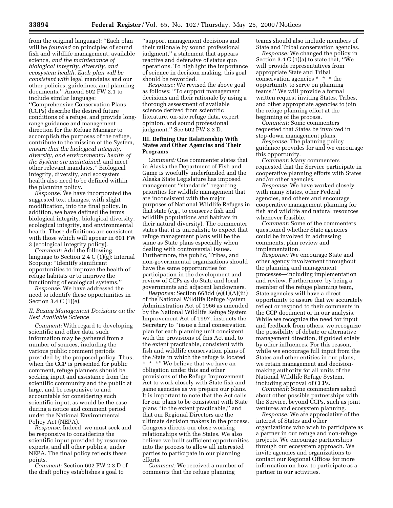from the original language): ''Each plan will be *founded* on principles of sound fish and wildlife management, available science, *and the maintenance of biological integrity, diversity, and ecosystem health. Each plan will be consistent with* legal mandates and our other policies, guidelines, and planning documents.'' Amend 602 FW 2.1 to include similar language: ''Comprehensive Conservation Plans (CCPs) describe the desired future conditions of a refuge, and provide longrange guidance and management direction for the Refuge Manager to accomplish the purposes of the refuge, contribute to the mission of the System, *ensure that the biological integrity, diversity, and environmental health of the System are maintained,* and meet other relevant mandates.'' Biological integrity, diversity, and ecosystem health also need to be defined within the planning policy.

*Response:* We have incorporated the suggested text changes, with slight modification, into the final policy. In addition, we have defined the terms biological integrity, biological diversity, ecological integrity, and environmental health. These definitions are consistent with those which will appear in 601 FW 3 (ecological integrity policy).

*Comment:* Add the following language to Section 2.4 C (1)(g): Internal Scoping: ''Identify significant opportunities to improve the health of refuge habitats or to improve the functioning of ecological systems.''

*Response:* We have addressed the need to identify these opportunities in Section 3.4 C (1)(e).

#### *II. Basing Management Decisions on the Best Available Science*

*Comment:* With regard to developing scientific and other data, such information may be gathered from a number of sources, including the various public comment periods provided by the proposed policy. Thus, when the CCP is presented for public comment, refuge planners should be seeking input and assistance from the scientific community and the public at large, and be responsive to and accountable for considering such scientific input, as would be the case during a notice and comment period under the National Environmental Policy Act (NEPA).

*Response:* Indeed, we must seek and be responsive to considering the scientific input provided by resource experts, and all other publics, under NEPA. The final policy reflects these points.

*Comment:* Section 602 FW 2.3 D of the draft policy establishes a goal to

''support management decisions and their rationale by sound professional judgment,'' a statement that appears reactive and defensive of status quo operations. To highlight the importance of science in decision making, this goal should be reworded.

*Response:* We revised the above goal as follows: ''To support management decisions and their rationale by using a thorough assessment of available science derived from scientific literature, on-site refuge data, expert opinion, and sound professional judgment.'' See 602 FW 3.3 D.

#### **III. Defining Our Relationship With States and Other Agencies and Their Programs**

*Comment:* One commenter states that in Alaska the Department of Fish and Game is woefully underfunded and the Alaska State Legislature has imposed management ''standards'' regarding priorities for wildlife management that are inconsistent with the major purposes of National Wildlife Refuges in that state (*e.g.,* to conserve fish and wildlife populations and habitats in their natural diversity). The commenter states that it is unrealistic to expect that refuge management plans will be the same as State plans especially when dealing with controversial issues. Furthermore, the public, Tribes, and non-governmental organizations should have the same opportunities for participation in the development and review of CCPs as do State and local governments and adjacent landowners.

*Response:* Section 668dd (e)(1)(A)(iii) of the National Wildlife Refuge System Administration Act of 1966 as amended by the National Wildlife Refuge System Improvement Act of 1997, instructs the Secretary to ''issue a final conservation plan for each planning unit consistent with the provisions of this Act and, to the extent practicable, consistent with fish and wildlife conservation plans of the State in which the refuge is located \* \* \*'' We believe that we have an obligation under this and other provisions of the Refuge Improvement Act to work closely with State fish and game agencies as we prepare our plans. It is important to note that the Act calls for our plans to be consistent with State plans ''to the extent practicable,'' and that our Regional Directors are the ultimate decision makers in the process. Congress directs our close working relationships with the States. We also believe we built sufficient opportunities into the process to allow all interested parties to participate in our planning efforts.

*Comment:* We received a number of comments that the refuge planning

teams should also include members of State and Tribal conservation agencies.

*Response:* We changed the policy in Section 3.4 C (1)(a) to state that, ''We will provide representatives from appropriate State and Tribal conservation agencies \* \* \* the opportunity to serve on planning teams.'' We will provide a formal written request inviting States, Tribes, and other appropriate agencies to join the refuge planning effort at the beginning of the process.

*Comment:* Some commenters requested that States be involved in step-down management plans.

*Response:* The planning policy guidance provides for and we encourage this opportunity.

*Comment:* Many commenters requested that the Service participate in cooperative planning efforts with States and/or other agencies.

*Response:* We have worked closely with many States, other Federal agencies, and others and encourage cooperative management planning for fish and wildlife and natural resources whenever feasible.

*Comment:* Some of the commenters questioned whether State agencies could be involved in addressing comments, plan review and implementation.

*Response:* We encourage State and other agency involvement throughout the planning and management processes—including implementation and review. Furthermore, by being a member of the refuge planning team, State agencies will have a direct opportunity to assure that we accurately reflect or respond to their comments in the CCP document or in our analysis. While we recognize the need for input and feedback from others, we recognize the possibility of debate or alternative management direction, if guided solely by other influences. For this reason, while we encourage full input from the States and other entities in our plans, we retain management and decisionmaking authority for all units of the National Wildlife Refuge System, including approval of CCPs.

*Comment:* Some commenters asked about other possible partnerships with the Service, beyond CCPs, such as joint ventures and ecosystem planning.

*Response:* We are appreciative of the interest of States and other organizations who wish to participate as a partner in our refuge and non-refuge projects. We encourage partnerships through our ecosystem approach. We invite agencies and organizations to contact our Regional Offices for more information on how to participate as a partner in our activities.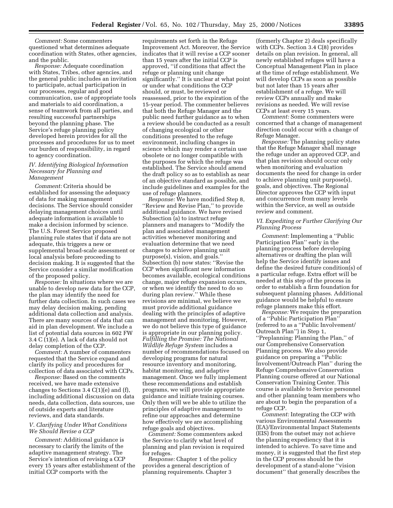*Comment:* Some commenters questioned what determines adequate coordination with States, other agencies, and the public.

*Response:* Adequate coordination with States, Tribes, other agencies, and the general public includes an invitation to participate, actual participation in our processes, regular and good communication, use of appropriate tools and materials to aid coordination, a sense of teamwork from all parties, and resulting successful partnerships beyond the planning phase. The Service's refuge planning policy developed herein provides for all the processes and procedures for us to meet our burden of responsibility, in regard to agency coordination.

#### *IV. Identifying Biological Information Necessary for Planning and Management*

*Comment:* Criteria should be established for assessing the adequacy of data for making management decisions. The Service should consider delaying management choices until adequate information is available to make a decision informed by science. The U.S. Forest Service proposed planning rule states that if data are not adequate, this triggers a new or supplemental broad-scale assessment or local analysis before proceeding to decision making. It is suggested that the Service consider a similar modification of the proposed policy.

*Response:* In situations where we are unable to develop new data for the CCP, the plan may identify the need for further data collection. In such cases we may delay decision making, pending additional data collection and analysis. There are many sources of data that can aid in plan development. We include a list of potential data sources in 602 FW 3.4 C (1)(e). A lack of data should not delay completion of the CCP.

*Comment:* A number of commenters requested that the Service expand and clarify its policy and procedures for collection of data associated with CCPs.

*Response:* Based on the comments received, we have made extensive changes to Sections 3.4 C(1)(e) and (f), including additional discussion on data needs, data collection, data sources, use of outside experts and literature reviews, and data standards.

#### *V. Clarifying Under What Conditions We Should Revise a CCP*

*Comment:* Additional guidance is necessary to clarify the limits of the adaptive management strategy. The Service's intention of revising a CCP every 15 years after establishment of the initial CCP comports with the

requirements set forth in the Refuge Improvement Act. Moreover, the Service indicates that it will revise a CCP sooner than 15 years after the initial CCP is approved, ''if conditions that affect the refuge or planning unit change significantly.'' It is unclear at what point or under what conditions the CCP should, or must, be reviewed or reassessed, prior to the expiration of the 15-year period. The commenter believes that both the Refuge Manager and the public need further guidance as to when a review should be conducted as a result of changing ecological or other conditions presented to the refuge environment, including changes in science which may render a certain use obsolete or no longer compatible with the purposes for which the refuge was established. The Service should amend the draft policy so as to establish as near of an objective standard as possible, and include guidelines and examples for the use of refuge planners.

*Response:* We have modified Step 8, ''Review and Revise Plan,'' to provide additional guidance. We have revised Subsection (a) to instruct refuge planners and managers to ''Modify the plan and associated management activities whenever monitoring and evaluation determine that we need changes to achieve planning unit purpose(s), vision, and goals.'' Subsection (b) now states: ''Revise the CCP when significant new information becomes available, ecological conditions change, major refuge expansion occurs, or when we identify the need to do so during plan review.'' While these revisions are minimal, we believe we must provide additional guidance dealing with the principles of adaptive management and monitoring. However, we do not believe this type of guidance is appropriate in our planning policy. *Fulfilling the Promise: The National Wildlife Refuge System* includes a number of recommendations focused on developing programs for natural resource inventory and monitoring, habitat monitoring, and adaptive management. Once we fully implement these recommendations and establish programs, we will provide appropriate guidance and initiate training courses. Only then will we be able to utilize the principles of adaptive management to refine our approaches and determine how effectively we are accomplishing refuge goals and objectives.

*Comment:* Some commenters asked the Service to clarify what level of planning and plan revision is required for refuges.

*Response:* Chapter 1 of the policy provides a general description of planning requirements. Chapter 3

(formerly Chapter 2) deals specifically with CCPs. Section 3.4 C(8) provides details on plan revision. In general, all newly established refuges will have a Conceptual Management Plan in place at the time of refuge establishment. We will develop CCPs as soon as possible but not later than 15 years after establishment of a refuge. We will review CCPs annually and make revisions as needed. We will revise CCPs at least every 15 years.

*Comment:* Some commenters were concerned that a change of management direction could occur with a change of Refuge Manager.

*Response:* The planning policy states that the Refuge Manager shall manage the refuge under an approved CCP, and that plan revision should occur only when monitoring and evaluation documents the need for change in order to achieve planning unit purpose(s), goals, and objectives. The Regional Director approves the CCP with input and concurrence from many levels within the Service, as well as outside review and comment.

#### *VI. Expediting or Further Clarifying Our Planning Process*

*Comment:* Implementing a ''Public Participation Plan'' early in the planning process before developing alternatives or drafting the plan will help the Service identify issues and define the desired future condition(s) of a particular refuge. Extra effort will be needed at this step of the process in order to establish a firm foundation for subsequent planning phases. Additional guidance would be helpful to ensure refuge planners make this effort.

*Response:* We require the preparation of a ''Public Participation Plan'' (referred to as a ''Public Involvement/ Outreach Plan'') in Step 1, ''Preplanning: Planning the Plan,'' of our Comprehensive Conservation Planning process. We also provide guidance on preparing a ''Public Involvement/Outreach Plan'' during the Refuge Comprehensive Conservation Planning course offered at our National Conservation Training Center. This course is available to Service personnel and other planning team members who are about to begin the preparation of a refuge CCP.

*Comment:* Integrating the CCP with various Environmental Assessments (EA)/Environmental Impact Statements (EIS) from the outset may not achieve the planning expediency that it is intended to achieve. To save time and money, it is suggested that the first step in the CCP process should be the development of a stand-alone ''vision document'' that generally describes the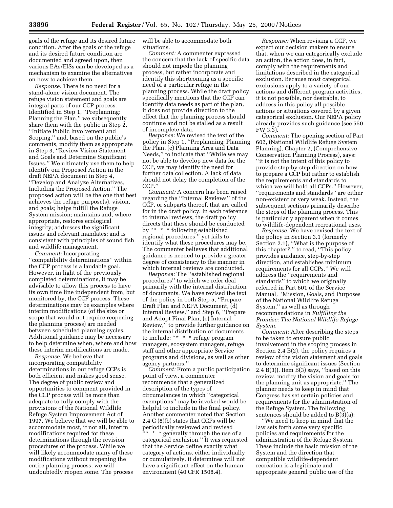goals of the refuge and its desired future condition. After the goals of the refuge and its desired future condition are documented and agreed upon, then various EAs/EISs can be developed as a mechanism to examine the alternatives on how to achieve them.

*Response:* There is no need for a stand-alone vision document. The refuge vision statement and goals are integral parts of our CCP process. Identified in Step 1, ''Preplanning: Planning the Plan," we subsequently share them with the public in Step 2, ''Initiate Public Involvement and Scoping,'' and, based on the public's comments, modify them as appropriate in Step 3, ''Review Vision Statement and Goals and Determine Significant Issues.'' We ultimately use them to help identify our Proposed Action in the draft NEPA document in Step 4, ''Develop and Analyze Alternatives, Including the Proposed Action.'' The proposed action will be the one that best achieves the refuge purpose(s), vision, and goals; helps fulfill the Refuge System mission; maintains and, where appropriate, restores ecological integrity; addresses the significant issues and relevant mandates; and is consistent with principles of sound fish and wildlife management.

*Comment:* Incorporating ''compatibility determinations'' within the CCP process is a laudable goal. However, in light of the previously completed determinations, it may be advisable to allow this process to have its own time line independent from, but monitored by, the CCP process. These determinations may be examples where interim modifications (of the size or scope that would not require reopening the planning process) are needed between scheduled planning cycles. Additional guidance may be necessary to help determine when, where and how these interim modifications are made.

*Response:* We believe that incorporating compatibility determinations in our refuge CCPs is both efficient and makes good sense. The degree of public review and opportunities to comment provided in the CCP process will be more than adequate to fully comply with the provisions of the National Wildlife Refuge System Improvement Act of 1997. We believe that we will be able to accommodate most, if not all, interim modifications required for these determinations through the revision procedures of the process. While we will likely accommodate many of these modifications without reopening the entire planning process, we will undoubtedly reopen some. The process

will be able to accommodate both situations.

*Comment:* A commenter expressed the concern that the lack of specific data should not impede the planning process, but rather incorporate and identify this shortcoming as a specific need of a particular refuge in the planning process. While the draft policy specifically mentions that the CCP can identify data needs as part of the plan, it does not provide direction to the effect that the planning process should continue and not be stalled as a result of incomplete data.

*Response:* We revised the text of the policy in Step 1, ''Preplanning: Planning the Plan, (e) Planning Area and Data Needs,'' to indicate that ''While we may not be able to develop new data for the CCP, we may identify the need for further data collection. A lack of data should not delay the completion of the CCP.''

*Comment:* A concern has been raised regarding the ''Internal Reviews'' of the CCP, or subparts thereof, that are called for in the draft policy. In each reference to internal reviews, the draft policy directs that these should be conducted by ''\* \* \* following established regional procedures,'' yet fails to identify what these procedures may be. The commenter believes that additional guidance is needed to provide a greater degree of consistency to the manner in which internal reviews are conducted.

*Response:* The ''established regional procedures'' to which we refer deal primarily with the internal distribution of documents. We have revised the text of the policy in both Step 5, ''Prepare Draft Plan and NEPA Document, (d) Internal Review,'' and Step 6, ''Prepare and Adopt Final Plan, (c) Internal Review,'' to provide further guidance on the internal distribution of documents to include: ''\* \* \* refuge program managers, ecosystem managers, refuge staff and other appropriate Service programs and divisions, as well as other agency partners.''

*Comment:* From a public participation point of view, a commenter recommends that a generalized description of the types of circumstances in which ''categorical exemptions'' may be invoked would be helpful to include in the final policy. Another commenter noted that Section 2.4 C (8)(b) states that CCPs will be periodically reviewed and revised ''\* \* \* generally through the use of a

categorical exclusion.'' It was requested that the Service define exactly what category of actions, either individually or cumulatively, it determines will not have a significant effect on the human environment (40 CFR 1508.4).

*Response:* When revising a CCP, we expect our decision makers to ensure that, when we can categorically exclude an action, the action does, in fact, comply with the requirements and limitations described in the categorical exclusion. Because most categorical exclusions apply to a variety of our actions and different program activities, it is not possible, nor desirable, to address in this policy all possible actions or situations covered by a given categorical exclusion. Our NEPA policy already provides such guidance (see 550 FW 3.3).

*Comment:* The opening section of Part 602, (National Wildlife Refuge System Planning), Chapter 2, (Comprehensive Conservation Planning Process), says: ''it is not the intent of this policy to provide step-by-step direction on how to prepare a CCP but rather to establish the requirements and standards to which we will hold all CCPs.'' However, ''requirements and standards'' are either non-existent or very weak. Instead, the subsequent sections primarily describe the steps of the planning process. This is particularly apparent when it comes to wildlife-dependent recreational uses.

*Response:* We have revised the text of the policy in Section 3.1 (formerly Section 2.1), ''What is the purpose of this chapter?,'' to read, ''This policy provides guidance, step-by-step direction, and establishes minimum requirements for all CCPs.'' We will address the ''requirements and standards'' to which we originally referred in Part 601 of the Service Manual, ''Mission, Goals, and Purposes of the National Wildlife Refuge System,'' as well as through recommendations in *Fulfilling the Promise: The National Wildlife Refuge System.*

*Comment:* After describing the steps to be taken to ensure public involvement in the scoping process in Section 2.4 B(2), the policy requires a review of the vision statement and goals to determine significant issues (Section 2.4 B(3)). Item B(3) says, ''based on this review, modify the vision and goals for the planning unit as appropriate.'' The planner needs to keep in mind that Congress has set certain policies and requirements for the administration of the Refuge System. The following sentences should be added to B(3)(a):

''We need to keep in mind that the law sets forth some very specific policies and requirements for the administration of the Refuge System. These include the basic mission of the System and the direction that compatible wildlife-dependent recreation is a legitimate and appropriate general public use of the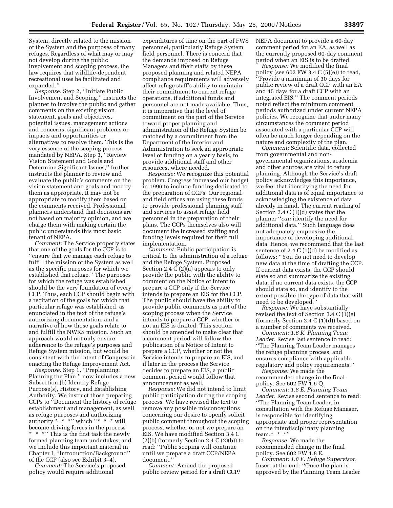System, directly related to the mission of the System and the purposes of many refuges. Regardless of what may or may not develop during the public involvement and scoping process, the law requires that wildlife-dependent recreational uses be facilitated and expanded.''

*Response:* Step 2, ''Initiate Public Involvement and Scoping,'' instructs the planner to involve the public and gather comments on the existing vision statement, goals and objectives, potential issues, management actions and concerns, significant problems or impacts and opportunities or alternatives to resolve them. This is the very essence of the scoping process mandated by NEPA. Step 3, ''Review Vision Statement and Goals and Determine Significant Issues,'' further instructs the planner to review and evaluate the public's comments on the vision statement and goals and modify them as appropriate. It may not be appropriate to modify them based on the comments received. Professional planners understand that decisions are not based on majority opinion, and we charge them with making certain the public understands this most basic tenant of NEPA.

*Comment:* The Service properly states that one of the goals for the CCP is to ''ensure that we manage each refuge to fulfill the mission of the System as well as the specific purposes for which we established that refuge.'' The purposes for which the refuge was established should be the very foundation of every CCP. Thus, each CCP should begin with a recitation of the goals for which that particular refuge was established, as enunciated in the text of the refuge's authorizing documentation, and a narrative of how those goals relate to and fulfill the NWRS mission. Such an approach would not only ensure adherence to the refuge's purposes and Refuge System mission, but would be consistent with the intent of Congress in enacting the Refuge Improvement Act.

*Response:* Step 1, ''Preplanning: Planning the Plan,'' now includes a new Subsection (b) Identify Refuge Purpose(s), History, and Establishing Authority. We instruct those preparing CCPs to ''Document the history of refuge establishment and management, as well as refuge purposes and authorizing authority  $* * * "$  which " $* * * "$  will become driving forces in the process \* \* \*" This is the first task the newly formed planning team undertakes, and we include this important material in Chapter I, ''Introduction/Background'' of the CCP (also see Exhibit 3–4).

*Comment:* The Service's proposed policy would require additional

expenditures of time on the part of FWS personnel, particularly Refuge System field personnel. There is concern that the demands imposed on Refuge Managers and their staffs by these proposed planning and related NEPA compliance requirements will adversely affect refuge staff's ability to maintain their commitment to current refuge operations, if additional funds and personnel are not made available. Thus, it is imperative that the level of commitment on the part of the Service toward proper planning and administration of the Refuge System be matched by a commitment from the Department of the Interior and Administration to seek an appropriate level of funding on a yearly basis, to provide additional staff and other resources, where needed.

*Response:* We recognize this potential problem. Congress increased our budget in 1996 to include funding dedicated to the preparation of CCPs. Our regional and field offices are using these funds to provide professional planning staff and services to assist refuge field personnel in the preparation of their plans. The CCPs themselves also will document the increased staffing and funding levels required for their full implementation.

*Comment:* Public participation is critical to the administration of a refuge and the Refuge System. Proposed Section 2.4 C (2)(a) appears to only provide the public with the ability to comment on the Notice of Intent to prepare a CCP only if the Service intends to prepare an EIS for the CCP. The public should have the ability to provide public comments as part of the scoping process when the Service intends to prepare a CCP, whether or not an EIS is drafted. This section should be amended to make clear that a comment period will follow the publication of a Notice of Intent to prepare a CCP, whether or not the Service intends to prepare an EIS, and if later in the process the Service decides to prepare an EIS, a public comment period would follow that announcement as well.

*Response:* We did not intend to limit public participation during the scoping process. We have revised the text to remove any possible misconceptions concerning our desire to openly solicit public comment throughout the scoping process, whether or not we prepare an EIS. We have modified Section 3.4 C  $(2)(b)$  (formerly Section 2.4 C $(2)(b)$ ) to read: ''Public scoping will continue until we prepare a draft CCP/NEPA document.''

*Comment:* Amend the proposed public review period for a draft CCP/ NEPA document to provide a 60-day comment period for an EA, as well as the currently proposed 60-day comment period when an EIS is to be drafted.

*Response:* We modified the final policy (see 602 FW 3.4  $C$  (5)(e)) to read, ''Provide a minimum of 30 days for public review of a draft CCP with an EA and 45 days for a draft CCP with an integrated EIS.'' The comment periods noted reflect the minimum comment periods authorized under current NEPA policies. We recognize that under many circumstances the comment period associated with a particular CCP will often be much longer depending on the nature and complexity of the plan.

*Comment:* Scientific data, collected from governmental and nongovernmental organizations, academia and other sources are vital to refuge planning. Although the Service's draft policy acknowledges this importance, we feel that identifying the need for additional data is of equal importance to acknowledging the existence of data already in hand. The current reading of Section 2.4 C (1)(d) states that the planner ''*can* identify the need for additional data.'' Such language does not adequately emphasize the importance of developing additional data. Hence, we recommend that the last sentence of 2.4  $C(1)(d)$  be modified as follows: ''You do not need to develop new data at the time of drafting the CCP. If current data exists, the CCP should state so and summarize the existing data; if no current data exists, the CCP should state so, and identify to the extent possible the type of data that will need to be developed.''

*Response:* We have substantially revised the text of Section 3.4 C (1)(e) (formerly Section 2.4  $C(1)(d)$ ) based on a number of comments we received.

*Comment: 1.6 K. Planning Team Leader.* Revise last sentence to read: ''The Planning Team Leader manages the refuge planning process, and ensures compliance with applicable regulatory and policy requirements.''

*Response:* We made the recommended change in the final policy. See 602 FW 1.6 Q.

*Comment: 1.8 E. Planning Team Leader.* Revise second sentence to read: ''The Planning Team Leader, in consultation with the Refuge Manager, is responsible for identifying appropriate and proper representation on the interdisciplinary planning team. $*$  \* \*''

*Response:* We made the recommended change in the final policy. See 602 FW 1.8 E.

*Comment: 1.8 F. Refuge Supervisor.* Insert at the end: ''Once the plan is approved by the Planning Team Leader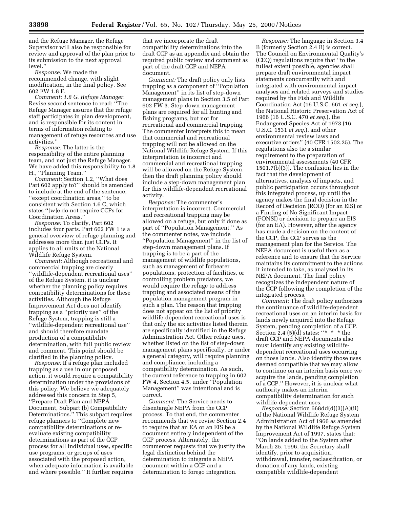and the Refuge Manager, the Refuge Supervisor will also be responsible for review and approval of the plan prior to its submission to the next approval level.''

*Response:* We made the recommended change, with slight modification, in the final policy. See 602 FW 1.8 F.

*Comment: 1.8 G. Refuge Manager.* Revise second sentence to read: ''The Refuge Manager assures that the refuge staff participates in plan development, and is responsible for its content in terms of information relating to management of refuge resources and use activities.''

*Response:* The latter is the responsibility of the entire planning team, and not just the Refuge Manager. We have added this responsibility to 1.8 H., ''Planning Team.''

*Comment:* Section 1.2, ''What does Part 602 apply to?'' should be amended to include at the end of the sentence, ''except coordination areas,'' to be consistent with Section 1.6 C, which states ''[w]e do not require CCPs for Coordination Areas.''

*Response:* To clarify, Part 602 includes four parts. Part 602 FW 1 is a general overview of refuge planning and addresses more than just CCPs. It applies to all units of the National Wildlife Refuge System.

*Comment:* Although recreational and commercial trapping are clearly ''wildlife-dependent recreational uses'' of the Refuge System, it is unclear whether the planning policy requires compatibility determinations for these activities. Although the Refuge Improvement Act does not identify trapping as a ''priority use'' of the Refuge System, trapping is still a ''wildlife-dependent recreational use'' and should therefore mandate production of a compatibility determination, with full public review and comment. This point should be clarified in the planning policy.

*Response:* If a refuge plan included trapping as a use in our proposed action, it would require a compatibility determination under the provisions of this policy. We believe we adequately addressed this concern in Step 5, ''Prepare Draft Plan and NEPA Document, Subpart (b) Compatibility Determinations.'' This subpart requires refuge planners to ''Complete new compatibility determinations or reevaluate existing compatibility determinations as part of the CCP process for all individual uses, specific use programs, or groups of uses associated with the proposed action, when adequate information is available and where possible.'' It further requires that we incorporate the draft compatibility determinations into the draft CCP as an appendix and obtain the required public review and comment as part of the draft CCP and NEPA document.

*Comment:* The draft policy only lists trapping as a component of ''Population Management'' in its list of step-down management plans in Section 3.5 of Part 602 FW 3. Step-down management plans are required for all hunting and fishing programs, but not for recreational and commercial trapping. The commenter interprets this to mean that commercial and recreational trapping will not be allowed on the National Wildlife Refuge System. If this interpretation is incorrect and commercial and recreational trapping will be allowed on the Refuge System, then the draft planning policy should include a step-down management plan for this wildlife-dependent recreational activity.

*Response:* The commenter's interpretation is incorrect. Commercial and recreational trapping may be allowed on a refuge, but only if done as part of ''Population Management.'' As the commenter notes, we include ''Population Management'' in the list of step-down management plans. If trapping is to be a part of the management of wildlife populations, such as management of furbearer populations, protection of facilities, or controlling problem predators, we would require the refuge to address trapping and associated means of the population management program in such a plan. The reason that trapping does not appear on the list of priority wildlife-dependent recreational uses is that only the six activities listed therein are specifically identified in the Refuge Administration Act. Other refuge uses, whether listed on the list of step-down management plans specifically, or under a general category, will require planning and compliance, including a compatibility determination. As such, the current reference to trapping in 602 FW 4, Section 4.5, under ''Population Management'' was intentional and is correct.

*Comment:* The Service needs to disentangle NEPA from the CCP process. To that end, the commenter recommends that we revise Section 2.4 to require that an EA or an EIS be a document entirely independent of the CCP process. Alternately, the commenter requests that we justify the legal distinction behind the determination to integrate a NEPA document within a CCP and a determination to forego integration.

*Response:* The language in Section 3.4 B (formerly Section 2.4 B) is correct. The Council on Environmental Quality's (CEQ) regulations require that ''to the fullest extent possible, agencies shall prepare draft environmental impact statements concurrently with and integrated with environmental impact analyses and related surveys and studies required by the Fish and Wildlife Coordination Act (16 U.S.C. 661 *et seq.*), the National Historic Preservation Act of 1966 (16 U.S.C. 470 *et seq.*), the Endangered Species Act of 1973 (16 U.S.C. 1531 *et seq.*), and other environmental review laws and executive orders'' (40 CFR 1502.25). The regulations also tie a similar requirement to the preparation of environmental assessments (40 CFR 1501.7(b)(3)). The confusion lies in the fact that the development of alternatives, analysis of impacts, and public participation occurs throughout this integrated process, up until the agency makes the final decision in the Record of Decision (ROD) (for an EIS) or a Finding of No Significant Impact (FONSI) or decision to prepare an EIS (for an EA). However, after the agency has made a decision on the content of the CCP, the CCP serves as the management plan for the Service. The NEPA document is useful then as a reference and to ensure that the Service maintains its commitment to the actions it intended to take, as analyzed in its NEPA document. The final policy recognizes the independent nature of the CCP following the completion of the integrated process.

*Comment:* The draft policy authorizes the continuance of wildlife-dependent recreational uses on an interim basis for lands newly acquired into the Refuge System, pending completion of a CCP. Section 2.4 (5)(d) states: "\* \* \* the draft CCP and NEPA documents also must identify any existing wildlifedependent recreational uses occurring on those lands. Also identify those uses deemed compatible that we may allow to continue on an interim basis once we acquire the lands, pending completion of a CCP.'' However, it is unclear what authority makes an interim compatibility determination for such wildlife-dependent uses.

*Response:* Section 668dd(d)(3)(A)(ii) of the National Wildlife Refuge System Administration Act of 1966 as amended by the National Wildlife Refuge System Improvement Act of 1997, states that: ''On lands added to the System after March 25, 1996, the Secretary shall identify, prior to acquisition, withdrawal, transfer, reclassification, or donation of any lands, existing compatible wildlife-dependent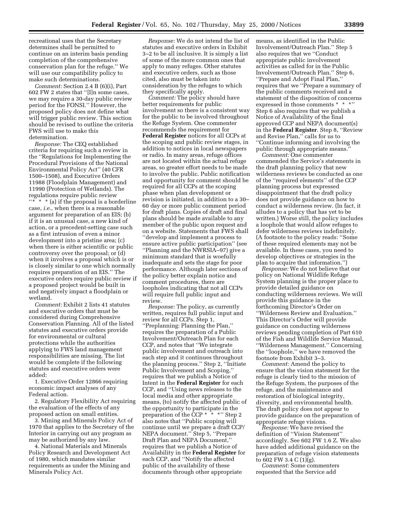recreational uses that the Secretary determines shall be permitted to continue on an interim basis pending completion of the comprehensive conservation plan for the refuge.'' We will use our compatibility policy to make such determinations.

*Comment:* Section 2.4 B (6)(i), Part 602 FW 2 states that ''[I]n some cases, we may require a 30-day public review period for the FONSI.'' However, the proposed policy does not define what will trigger public review. This section should be revised to outline the criteria FWS will use to make this determination.

*Response:* The CEQ established criteria for requiring such a review in the ''Regulations for Implementing the Procedural Provisions of the National Environmental Policy Act'' (40 CFR 1500–1508), and Executive Orders 11988 (Floodplain Management) and 11990 (Protection of Wetlands). The regulations require public review "\*  $*$  (a) if the proposal is a borderline case, *i.e.,* when there is a reasonable argument for preparation of an EIS; (b) if it is an unusual case, a new kind of action, or a precedent-setting case such as a first intrusion of even a minor development into a pristine area; (c) when there is either scientific or public controversy over the proposal; or (d) when it involves a proposal which is or is closely similar to one which normally requires preparation of an EIS.'' The executive orders require public review if a proposed project would be built in and negatively impact a floodplain or wetland.

*Comment:* Exhibit 2 lists 41 statutes and executive orders that must be considered during Comprehensive Conservation Planning. All of the listed statutes and executive orders provide for environmental or cultural protections while the authorities applying to FWS land management responsibilities are missing. The list would be complete if the following statutes and executive orders were added:

1. Executive Order 12866 requiring economic impact analyses of any Federal action.

2. Regulatory Flexibility Act requiring the evaluation of the effects of any proposed action on small entities.

3. Mining and Minerals Policy Act of 1970 that applies to the Secretary of the Interior in carrying out any program as may be authorized by any law.

4. National Materials and Minerals Policy Research and Development Act of 1980, which mandates similar requirements as under the Mining and Minerals Policy Act.

*Response:* We do not intend the list of statutes and executive orders in Exhibit 3–2 to be all inclusive. It is simply a list of some of the more common ones that apply to many refuges. Other statutes and executive orders, such as those cited, also must be taken into consideration by the refuges to which they specifically apply.

*Comment:* The policy should have better requirements for public involvement so there is a consistent way for the public to be involved throughout the Refuge System. One commenter recommends the requirement for **Federal Register** notices for all CCPs at the scoping and public review stages, in addition to notices in local newspapers or radio. In many areas, refuge offices are not located within the actual refuge areas, so greater effort needs to be made to involve the public. Public notification and opportunity for comment should be required for all CCPs at the scoping phase when plan development or revision is initiated, in addition to a 30– 60 day or more public comment period for draft plans. Copies of draft and final plans should be made available to any member of the public upon request and on a website. Statements that FWS shall ''develop and implement a process to ensure active public participation'' (see ''Planning and the NWRSIA–97) give a minimum standard that is woefully inadequate and sets the stage for poor performance. Although later sections of the policy better explain notice and comment procedures, there are loopholes indicating that not all CCPs will require full public input and review.

*Response:* The policy, as currently written, requires full public input and review for all CCPs. Step 1, ''Preplanning: Planning the Plan,'' requires the preparation of a Public Involvement/Outreach Plan for each CCP, and notes that ''We integrate public involvement and outreach into each step and it continues throughout the planning process.'' Step 2, ''Initiate Public Involvement and Scoping,'' requires that we publish a Notice of Intent in the **Federal Register** for each CCP, and ''Using news releases to the local media and other appropriate means, (to) notify the affected public of the opportunity to participate in the preparation of the CCP \* \* \*'' Step 2 also notes that ''Public scoping will continue until we prepare a draft CCP/ NEPA document.'' Step 5, ''Prepare Draft Plan and NEPA Document,'' requires that we publish a Notice of Availability in the **Federal Register** for each CCP, and ''Notify the affected public of the availability of these documents through other appropriate

means, as identified in the Public Involvement/Outreach Plan.'' Step 5 also requires that we ''Conduct appropriate public involvement activities as called for in the Public Involvement/Outreach Plan.'' Step 6, ''Prepare and Adopt Final Plan,'' requires that we ''Prepare a summary of the public comments received and a statement of the disposition of concerns expressed in those comments \* \* \*'' Step 6 also requires that we publish a Notice of Availability of the final approved CCP and NEPA document(s) in the **Federal Register**. Step 8, ''Review and Revise Plan,'' calls for us to ''Continue informing and involving the public through appropriate means.''

*Comment:* One commenter commended the Service's statements in the draft planning policy that new wilderness reviews be conducted as one of the ''required elements'' of the CCP planning process but expressed disappointment that the draft policy does not provide guidance on how to conduct a wilderness review. (In fact, it alludes to a policy that has yet to be written.) Worse still, the policy includes a loophole that would allow refuges to defer wilderness reviews indefinitely. (A footnote to the policy reads: ''Some of these required elements may not be available. In these cases, you need to develop objectives or strategies in the plan to acquire that information.'')

*Response:* We do not believe that our policy on National Wildlife Refuge System planning is the proper place to provide detailed guidance on conducting wilderness reviews. We will provide this guidance in the forthcoming Director's Order on ''Wilderness Review and Evaluation.'' This Director's Order will provide guidance on conducting wilderness reviews pending completion of Part 610 of the Fish and Wildlife Service Manual, ''Wilderness Management.'' Concerning the ''loophole,'' we have removed the footnote from Exhibit 3–3.

*Comment:* Amend the policy to ensure that the vision statement for the refuge is clearly tied to the mission of the Refuge System, the purposes of the refuge, and the maintenance and restoration of biological integrity, diversity, and environmental health. The draft policy does not appear to provide guidance on the preparation of appropriate refuge visions.

*Response:* We have revised the definition of ''Vision Statement'' accordingly. See 602 FW 1.6 Z. We also have added additional guidance on the preparation of refuge vision statements to 602 FW 3.4 C (1)(g).

*Comment:* Some commenters requested that the Service add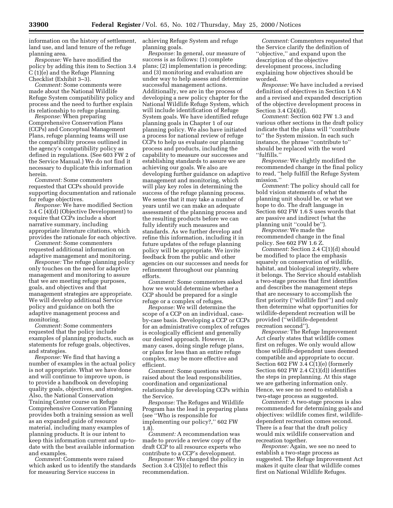information on the history of settlement, land use, and land tenure of the refuge planning area.

*Response:* We have modified the policy by adding this item to Section 3.4 C (1)(e) and the Refuge Planning Checklist (Exhibit 3–3).

*Comment:* Some comments were made about the National Wildlife Refuge System compatibility policy and process and the need to further explain its relationship to refuge planning.

*Response:* When preparing Comprehensive Conservation Plans (CCPs) and Conceptual Management Plans, refuge planning teams will use the compatibility process outlined in the agency's compatibility policy as defined in regulations. (See 603 FW 2 of the Service Manual.) We do not find it necessary to duplicate this information herein.

*Comment:* Some commenters requested that CCPs should provide supporting documentation and rationale for refuge objectives.

*Response:* We have modified Section 3.4 C (4)(d) (Objective Development) to require that CCPs include a short narrative summary, including appropriate literature citations, which provides the rationale for each objective.

*Comment:* Some commenters requested additional information on adaptive management and monitoring.

*Response:* The refuge planning policy only touches on the need for adaptive management and monitoring to assure that we are meeting refuge purposes, goals, and objectives and that management strategies are appropriate. We will develop additional Service policy and guidance on both the adaptive management process and monitoring.

*Comment:* Some commenters requested that the policy include examples of planning products, such as statements for refuge goals, objectives, and strategies.

*Response:* We find that having a number of examples in the actual policy is not appropriate. What we have done and will continue to improve upon, is to provide a handbook on developing quality goals, objectives, and strategies. Also, the National Conservation Training Center course on Refuge Comprehensive Conservation Planning provides both a training session as well as an expanded guide of resource material, including many examples of planning products. It is our intent to keep this information current and up-todate with the best available information and examples.

*Comment:* Comments were raised which asked us to identify the standards for measuring Service success in

achieving Refuge System and refuge planning goals.

*Response:* In general, our measure of success is as follows: (1) complete plans; (2) implementation is preceding; and (3) monitoring and evaluation are under way to help assess and determine successful management actions. Additionally, we are in the process of developing a new policy chapter for the National Wildlife Refuge System, which will include identification of Refuge System goals. We have identified refuge planning goals in Chapter 1 of our planning policy. We also have initiated a process for national review of refuge CCPs to help us evaluate our planning process and products, including the capability to measure our successes and establishing standards to assure we are achieving our goals. We also are developing further guidance on adaptive management and monitoring, which will play key roles in determining the success of the refuge planning process. We sense that it may take a number of years until we can make an adequate assessment of the planning process and the resulting products before we can fully identify such measures and standards. As we further develop and refine this information, including it in future updates of the refuge planning policy will be appropriate. We invite feedback from the public and other agencies on our successes and needs for refinement throughout our planning efforts.

*Comment:* Some commenters asked how we would determine whether a CCP should be prepared for a single refuge or a complex of refuges.

*Response:* We will determine the scope of a CCP on an individual, caseby-case basis. Developing a CCP or CCPs for an administrative complex of refuges is ecologically efficient and generally our desired approach. However, in many cases, doing single refuge plans, or plans for less than an entire refuge complex, may be more effective and efficient.

*Comment:* Some questions were raised about the lead responsibilities, coordination and organizational relationship for developing CCPs within the Service.

*Response:* The Refuges and Wildlife Program has the lead in preparing plans (see ''Who is responsible for implementing our policy?,'' 602 FW 1.8).

*Comment:* A recommendation was made to provide a review copy of the draft CCP to all resource experts who contribute to a CCP's development.

*Response:* We changed the policy in Section 3.4 C(5)(e) to reflect this recommendation.

*Comment:* Commenters requested that the Service clarify the definition of ''objective,'' and expand upon the description of the objective development process, including explaining how objectives should be worded.

*Response:* We have included a revised definition of objectives in Section 1.6 N and a revised and expanded description of the objective development process in Section 3.4 C(4)(d).

*Comment:* Section 602 FW 1.3 and various other sections in the draft policy indicate that the plans will ''contribute to'' the System mission. In each such instance, the phrase ''contribute to'' should be replaced with the word ''fulfills.''

*Response:* We slightly modified the recommended change in the final policy to read, ''help fulfill the Refuge System mission.''

*Comment:* The policy should call for bold vision statements of what the planning unit should be, or what we hope to do. The draft language in Section 602 FW 1.6 S uses words that are passive and indirect (what the planning unit ''could be'').

*Response:* We made the recommended change in the final policy. See 602 FW 1.6 Z.

*Comment: Section 2.4 C(1)(d) should* be modified to place the emphasis squarely on conservation of wildlife, habitat, and biological integrity, where it belongs. The Service should establish a two-stage process that first identifies and describes the management steps that are necessary to accomplish the first priority (''wildlife first'') and only then determine what opportunities for wildlife-dependent recreation will be provided (''wildlife-dependent recreation second'').

*Response:* The Refuge Improvement Act clearly states that wildlife comes first on refuges. We only would allow those wildlife-dependent uses deemed compatible and appropriate to occur. Section 602 FW  $3.4$  C(1)(e) (formerly Section 602 FW 2.4  $C(1)(d)$  identifies the steps in preplanning. At this stage we are gathering information only. Hence, we see no need to establish a two-stage process as suggested.

*Comment:* A two-stage process is also recommended for determining goals and objectives: wildlife comes first, wildlifedependent recreation comes second. There is a fear that the draft policy would mix wildlife conservation and recreation together.

*Response:* Again, we see no need to establish a two-stage process as suggested. The Refuge Improvement Act makes it quite clear that wildlife comes first on National Wildlife Refuges.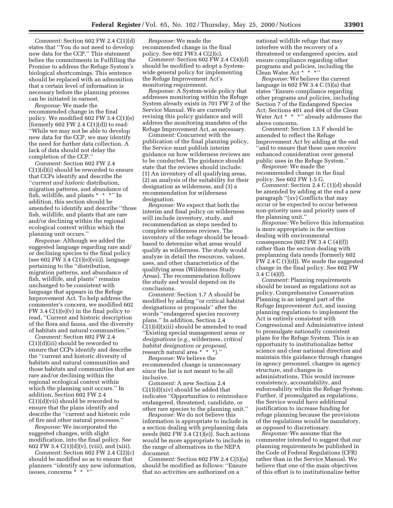*Comment:* Section 602 FW 2.4 C(1)(d) states that ''You do not need to develop new data for the CCP.'' This statement belies the commitments in Fulfilling the Promise to address the Refuge System's biological shortcomings. This sentence should be replaced with an admonition that a certain level of information is necessary before the planning process can be initiated in earnest.

*Response:* We made the recommended change in the final policy. We modified 602 FW 3.4 C(1)(e) (formerly 602 FW 2.4  $C(1)(d)$ ) to read: ''While we may not be able to develop new data for the CCP, we may identify the need for further data collection. A lack of data should not delay the completion of the CCP.''

*Comment:* Section 602 FW 2.4 C(1)(d)(i) should be reworded to ensure that CCPs identify and describe the ''*current and historic* distribution, migration patterns, and abundance of fish, wildlife, and plants \* \* \*'' In addition, this section should be amended to identify and describe ''those fish, wildlife, and plants that are rare and/or declining within the regional ecological context within which the planning unit occurs.''

*Response:* Although we added the suggested language regarding rare and/ or declining species to the final policy (see 602 FW 3.4 C(1)(e)(vii)), language pertaining to the ''distribution, migration patterns, and abundance of fish, wildlife, and plants'' remains unchanged to be consistent with language that appears in the Refuge Improvement Act. To help address the commenter's concern, we modified 602 FW 3.4  $C(1)(e)(v)$  in the final policy to read, ''Current and historic description of the flora and fauna, and the diversity of habitats and natural communities.''

*Comment:* Section 602 FW 2.4 C(1)(d)(iii) should be reworded to ensure that CCPs identify and describe the ''current and historic diversity of habitats and natural communities and those habitats and communities that are rare and/or declining within the regional ecological context within which the planning unit occurs.'' In addition, Section 602 FW 2.4 C(1)(d)(vii) should be reworded to ensure that the plans identify and describe the ''current and historic role of fire and other natural processes.''

*Response:* We incorporated the suggested changes, with slight modification, into the final policy. See 602 FW 3.4 C(1)(d)(v), (viii), and (xiii).

*Comment:* Section 602 FW 2.4 C(2)(c) should be modified so as to ensure that planners ''identify any new information, issues, concerns \* \* \*''

*Response:* We made the recommended change in the final policy. See 602 FW3.4 C(2)(c).

*Comment:* Section 602 FW 2.4 C(4)(d) should be modified to adopt a Systemwide general policy for implementing the Refuge Improvement Act's monitoring requirement.

*Response:* A System-wide policy that addresses monitoring within the Refuge System already exists in 701 FW 2 of the Service Manual. We are currently revising this policy guidance and will address the monitoring mandates of the Refuge Improvement Act, as necessary.

*Comment:* Concurrent with the publication of the final planning policy, the Service must publish interim guidance on how wilderness reviews are to be conducted. The guidance should state that the reviews should include: (1) An inventory of all qualifying areas, (2) an analysis of the suitability for their designation as wilderness, and (3) a recommendation for wilderness designation.

*Response:* We expect that both the interim and final policy on wilderness will include inventory, study, and recommendation as steps needed to complete wilderness reviews. The inventory of the refuge should be broadbased to determine what areas would qualify as wilderness. The study would analyze in detail the resources, values, uses, and other characteristics of the qualifying areas (Wilderness Study Areas). The recommendation follows the study and would depend on its conclusions.

*Comment:* Section 1.7 A should be modified by adding ''or critical habitat designations or proposals'' after the words ''endangered species recovery plans.'' In addition, Section 2.4 C(1)(d)(xiii) should be amended to read ''Existing special management areas *or designations* (*e.g.,* wilderness, *critical habitat designation or proposal,* research natural area \* \* \*).''

*Response:* We believe the recommended change is unnecessary since the list is not meant to be all inclusive.

*Comment:* A new Section 2.4 C(1)(d)(xiv) should be added that indicates ''Opportunities to reintroduce endangered, threatened, candidate, or other rare species to the planning unit.''

*Response:* We do not believe this information is appropriate to include in a section dealing with preplanning data needs (602 FW 3.4 C(1)(e)). Such actions would be more appropriate to include in the range of alternatives in the NEPA document.

*Comment:* Section 602 FW 2.4 C(5)(a) should be modified as follows: ''Ensure that no activities are authorized on a

national wildlife refuge that may interfere with the recovery of a threatened or endangered species, and ensure compliance regarding other programs and policies, including the Clean Water Act \* \* \*''

*Response:* We believe the current language in  $602$  FW 3.4 C  $(5)(a)$  that states ''Ensure compliance regarding other programs and policies, including Section 7 of the Endangered Species Act; Sections 401 and 404 of the Clean Water Act \* \* \*" already addresses the above concerns.

*Comment:* Section 1.5 F should be amended to reflect the Refuge Improvement Act by adding at the end ''and to ensure that these uses receive enhanced consideration over general public uses in the Refuge System.''

*Response:* We made the recommended change in the final policy. See 602 FW 1.5 G.

*Comment:* Section 2.4 C (1)(d) should be amended by adding at the end a new paragraph ''(xv) Conflicts that may occur or be expected to occur between non-priority uses and priority uses of the planning unit.''

*Response:* We believe this information is more appropriate in the section dealing with environmental consequences (602 FW 3.4 C (4)(f)) rather than the section dealing with preplanning data needs (formerly 602 FW 2.4 C (1)(d)). We made the suggested change in the final policy. See 602 FW 3.4 C (4)(f).

*Comment:* Planning requirements should be issued as regulations not as policy. Comprehensive Conservation Planning is an integral part of the Refuge Improvement Act, and issuing planning regulations to implement the Act is entirely consistent with Congressional and Administrative intent to promulgate nationally consistent plans for the Refuge System. This is an opportunity to institutionalize better science and clear national direction and maintain this guidance through changes in agency personnel, changes in agency structure, and changes in administrations. This would increase consistency, accountability, and enforceability within the Refuge System. Further, if promulgated as regulations, the Service would have additional justification to increase funding for refuge planning because the provisions of the regulations would be mandatory, as opposed to discretionary.

*Response:* We assume that the commenter intended to suggest that our planning requirements be published in the Code of Federal Regulations (CFR) rather than in the Service Manual. We believe that one of the main objectives of this effort is to institutionalize better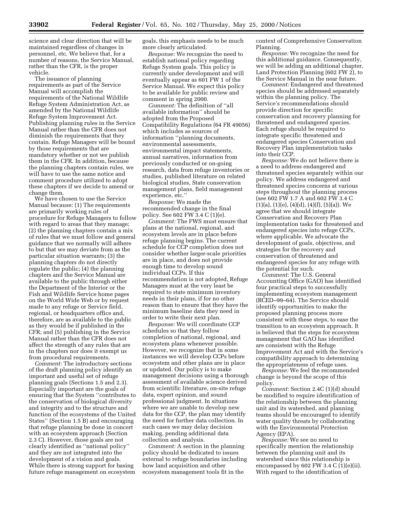science and clear direction that will be maintained regardless of changes in personnel, etc. We believe that, for a number of reasons, the Service Manual, rather than the CFR, is the proper vehicle.

The issuance of planning requirements as part of the Service Manual will accomplish the requirements of the National Wildlife Refuge System Administration Act, as amended by the National Wildlife Refuge System Improvement Act. Publishing planning rules in the Service Manual rather than the CFR does not diminish the requirements that they contain. Refuge Managers will be bound by those requirements that are mandatory whether or not we publish them in the CFR. In addition, because the planning chapters contain rules, we will have to use the same notice and comment procedure utilized to adopt these chapters if we decide to amend or change them.

We have chosen to use the Service Manual because: (1) The requirements are primarily working rules of procedure for Refuge Managers to follow with regard to areas that they manage; (2) the planning chapters contain a mix of rules that we must follow and general guidance that we normally will adhere to but that we may deviate from as the particular situation warrants; (3) the planning chapters do not directly regulate the public; (4) the planning chapters and the Service Manual are available to the public through either the Department of the Interior or the Fish and Wildlife Service home pages on the World Wide Web or by request made to any refuge or Service field, regional, or headquarters office and, therefore, are as available to the public as they would be if published in the CFR; and (5) publishing in the Service Manual rather than the CFR does not affect the strength of any rules that are in the chapters nor does it exempt us from procedural requirements.

*Comment:* The introductory sections of the draft planning policy identify an important and useful set of refuge planning goals (Sections 1.5 and 2.3). Especially important are the goals of ensuring that the System ''contributes to the conservation of biological diversity and integrity and to the structure and function of the ecosystems of the United States'' (Section 1.5 B) and encouraging that refuge planning be done in concert with an ecosystem approach (Section 2.3 C). However, those goals are not clearly identified as ''national policy'' and they are not integrated into the development of a vision and goals. While there is strong support for basing future refuge management on ecosystem

goals, this emphasis needs to be much more clearly articulated.

*Response:* We recognize the need to establish national policy regarding Refuge System goals. This policy is currently under development and will eventually appear as 601 FW 1 of the Service Manual. We expect this policy to be available for public review and comment in spring 2000.

*Comment:* The definition of ''all available information'' should be adopted from the Proposed Compatibility Regulations (64 FR 49056) which includes as sources of information ''planning documents, environmental assessments, environmental impact statements, annual narratives, information from previously conducted or on-going research, data from refuge inventories or studies, published literature on related biological studies, State conservation management plans, field management experience, etc.''

*Response:* We made the recommended change in the final policy. See 602 FW 3.4 C (1)(e).

*Comment:* The FWS must ensure that plans at the national, regional, and ecosystem levels are in place before refuge planning begins. The current schedule for CCP completion does not consider whether larger-scale priorities are in place, and does not provide enough time to develop sound individual CCPs. If this recommendation is not adopted, Refuge Managers must at the very least be required to state minimum inventory needs in their plans, if for no other reason than to ensure that they have the minimum baseline data they need in order to write their next plan.

*Response:* We will coordinate CCP schedules so that they follow completion of national, regional, and ecosystem plans whenever possible. However, we recognize that in some instances we will develop CCPs before ecosystem and other plans are in place or updated. Our policy is to make management decisions using a thorough assessment of available science derived from scientific literature, on-site refuge data, expert opinion, and sound professional judgment. In situations where we are unable to develop new data for the CCP, the plan may identify the need for further data collection. In such cases we may delay decision making, pending additional data collection and analysis.

*Comment:* A section in the planning policy should be dedicated to issues external to refuge boundaries including how land acquisition and other ecosystem management tools fit in the

context of Comprehensive Conservation Planning.

*Response:* We recognize the need for this additional guidance. Consequently, we will be adding an additional chapter, Land Protection Planning (602 FW 2), to the Service Manual in the near future.

*Comment:* Endangered and threatened species should be addressed separately within the planning policy. The Service's recommendations should provide direction for specific conservation and recovery planning for threatened and endangered species. Each refuge should be required to integrate specific threatened and endangered species Conservation and Recovery Plan implementation tasks into their CCP.

*Response:* We do not believe there is a need to address endangered and threatened species separately within our policy. We address endangered and threatened species concerns at various steps throughout the planning process (see 602 FW 1.7 A and 602 FW 3.4 C  $(1)(a)$ ,  $(1)(e)$ ,  $(4)(d)$ ,  $(4)(f)$ ,  $(5)(a)$ ). We agree that we should integrate Conservation and Recovery Plan implementation tasks for threatened and endangered species into refuge CCPs, where applicable. We advocate the development of goals, objectives, and strategies for the recovery and conservation of threatened and endangered species for any refuge with the potential for such.

*Comment:* The U.S. General Accounting Office (GAO) has identified four practical steps to successfully implementing ecosystem management (RCED–99–64). The Service should identify opportunities to make the proposed planning process more consistent with these steps, to ease the transition to an ecosystem approach. It is believed that the steps for ecosystem management that GAO has identified are consistent with the Refuge Improvement Act and with the Service's compatibility approach to determining the appropriateness of refuge uses.

*Response:* We feel the recommended change is beyond the scope of this policy.

*Comment:* Section 2.4C (1)(d) should be modified to require identification of the relationship between the planning unit and its watershed, and planning teams should be encouraged to identify water quality threats by collaborating with the Environmental Protection Agency (EPA).

*Response:* We see no need to specifically mention the relationship between the planning unit and its watershed since this relationship is encompassed by  $602$  FW 3.4 C  $(1)(e)(ii)$ . With regard to the identification of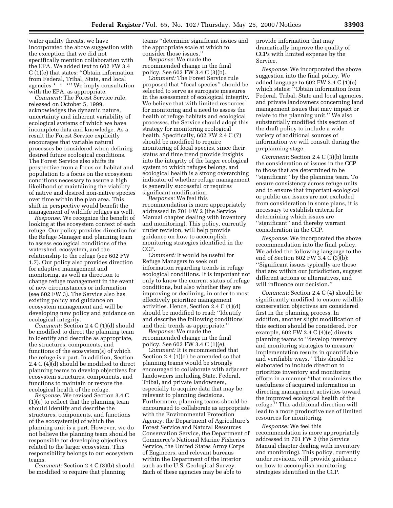water quality threats, we have incorporated the above suggestion with the exception that we did not specifically mention collaboration with the EPA. We added text to 602 FW 3.4 C (1)(e) that states: ''Obtain information from Federal, Tribal, State, and local agencies \* \* \*'' We imply consultation with the EPA, as appropriate.

*Comment:* The Forest Service rule, released on October 5, 1999, acknowledges the dynamic nature, uncertainty and inherent variability of ecological systems of which we have incomplete data and knowledge. As a result the Forest Service explicitly encourages that variable natural processes be considered when defining desired future ecological conditions. The Forest Service also shifts its perspective from a focus on habitat and population to a focus on the ecosystem conditions necessary to assure a high likelihood of maintaining the viability of native and desired non-native species over time within the plan area. This shift in perspective would benefit the management of wildlife refuges as well.

*Response:* We recognize the benefit of looking at the ecosystem context of each refuge. Our policy provides direction for the Refuge Manager and planning team to assess ecological conditions of the watershed, ecosystem, and the relationship to the refuge (see 602 FW 1.7). Our policy also provides direction for adaptive management and monitoring, as well as direction to change refuge management in the event of new circumstances or information (see 602 FW 3). The Service also has existing policy and guidance on ecosystem management and will be developing new policy and guidance on ecological integrity.

*Comment:* Section 2.4 C (1)(d) should be modified to direct the planning team to identify and describe as appropriate, the structures, components, and functions of the ecosystem(s) of which the refuge is a part. In addition, Section 2.4 C (4)(d) should be modified to direct planning teams to develop objectives for ecosystem structures, components, and functions to maintain or restore the ecological health of the refuge.

*Response:* We revised Section 3.4 C (1)(e) to reflect that the planning team should identify and describe the structures, components, and functions of the ecosystem(s) of which the planning unit is a part. However, we do not believe the planning team should be responsible for developing objectives related to the larger ecosystem. This responsibility belongs to our ecosystem teams.

*Comment:* Section 2.4 C (3)(b) should be modified to require that planning

teams ''determine significant issues and the appropriate scale at which to consider those issues.''

*Response:* We made the recommended change in the final policy. See 602 FW 3.4 C (3)(b).

*Comment:* The Forest Service rule proposed that ''focal species'' should be selected to serve as surrogate measures in the assessment of ecological integrity. We believe that with limited resources for monitoring and a need to assess the health of refuge habitats and ecological processes, the Service should adopt this strategy for monitoring ecological health. Specifically, 602 FW 2.4 C (7) should be modified to require monitoring of focal species, since their status and time trend provide insights into the integrity of the larger ecological system to which refuges belong, and ecological health is a strong overarching indicator of whether refuge management is generally successful or requires significant modification.

*Response:* We feel this recommendation is more appropriately addressed in 701 FW 2 (the Service Manual chapter dealing with inventory and monitoring). This policy, currently under revision, will help provide guidance on how to accomplish monitoring strategies identified in the CCP.

*Comment:* It would be useful for Refuge Managers to seek out information regarding trends in refuge ecological conditions. It is important not only to know the current status of refuge conditions, but also whether they are improving or declining, in order to most effectively prioritize management activities. Hence, Section 2.4 C (1)(d) should be modified to read: ''Identify and describe the following conditions and their trends as appropriate.''

*Response:* We made the recommended change in the final policy. See 602 FW 3.4 C (1)(e).

*Comment:* It is recommended that Section 2.4 (1)(d) be amended so that planning teams would be strongly encouraged to collaborate with adjacent landowners including State, Federal, Tribal, and private landowners, especially to acquire data that may be relevant to planning decisions. Furthermore, planning teams should be encouraged to collaborate as appropriate with the Environmental Protection Agency, the Department of Agriculture's Forest Service and Natural Resources Conservation Service, the Department of Commerce's National Marine Fisheries Service, the United States Army Corps of Engineers, and relevant bureaus within the Department of the Interior such as the U.S. Geological Survey. Each of these agencies may be able to

provide information that may dramatically improve the quality of CCPs with limited expense by the Service.

*Response:* We incorporated the above suggestion into the final policy. We added language to 602 FW 3.4 C (1)(e) which states: ''Obtain information from Federal, Tribal, State and local agencies, and private landowners concerning land management issues that may impact or relate to the planning unit.'' We also substantially modified this section of the draft policy to include a wide variety of additional sources of information we will consult during the preplanning stage.

*Comment:* Section 2.4 C (3)(b) limits the consideration of issues in the CCP to those that are determined to be ''significant'' by the planning team. To ensure consistency across refuge units and to ensure that important ecological or public use issues are not excluded from consideration in some plans, it is necessary to establish criteria for determining which issues are ''significant'' and thereby warrant consideration in the CCP.

*Response:* We incorporated the above recommendation into the final policy. We added the following language to the end of Section 602 FW 3.4 C (3)(b): ''Significant issues typically are those that are: within our jurisdiction, suggest different actions or alternatives, and will influence our decision.''

*Comment:* Section 2.4 C (4) should be significantly modified to ensure wildlife conservation objectives are considered first in the planning process. In addition, another slight modification of this section should be considered. For example, 602 FW 2.4 C (4)(e) directs planning teams to ''develop inventory and monitoring strategies to measure implementation results in quantifiable and verifiable ways.'' This should be elaborated to include direction to prioritize inventory and monitoring efforts in a manner ''that maximizes the usefulness of acquired information in directing management activities toward the improved ecological health of the refuge.'' This additional direction will lead to a more productive use of limited resources for monitoring.

*Response:* We feel this recommendation is more appropriately addressed in 701 FW 2 (the Service Manual chapter dealing with inventory and monitoring). This policy, currently under revision, will provide guidance on how to accomplish monitoring strategies identified in the CCP.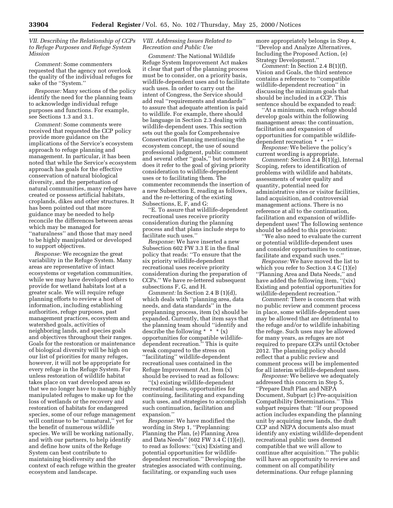*VII. Describing the Relationship of CCPs to Refuge Purposes and Refuge System Mission*

*Comment:* Some commenters requested that the agency not overlook the quality of the individual refuges for sake of the ''System.''

*Response:* Many sections of the policy identify the need for the planning team to acknowledge individual refuge purposes and functions. For example, see Sections 1.3 and 3.1.

*Comment:* Some comments were received that requested the CCP policy provide more guidance on the implications of the Service's ecosystem approach to refuge planning and management. In particular, it has been noted that while the Service's ecosystem approach has goals for the effective conservation of natural biological diversity, and the perpetuation of natural communities, many refuges have created or possess artificial habitats, croplands, dikes and other structures. It has been pointed out that more guidance may be needed to help reconcile the differences between areas which may be managed for ''naturalness'' and those that may need to be highly manipulated or developed to support objectives.

*Response:* We recognize the great variability in the Refuge System. Many areas are representative of intact ecosystems or vegetation communities, while we may have developed others to provide for wetland habitats lost at a greater scale. We will require refuge planning efforts to review a host of information, including establishing authorities, refuge purposes, past management practices, ecosystem and watershed goals, activities of neighboring lands, and species goals and objectives throughout their ranges. Goals for the restoration or maintenance of biological diversity will be high on our list of priorities for many refuges, however, it will not be appropriate for every refuge in the Refuge System. For unless restoration of wildlife habitat takes place on vast developed areas so that we no longer have to manage highly manipulated refuges to make up for the loss of wetlands or the recovery and restoration of habitats for endangered species, some of our refuge management will continue to be ''unnatural,'' yet for the benefit of numerous wildlife species. We will be working nationally, and with our partners, to help identify and define how units of the Refuge System can best contribute to maintaining biodiversity and the context of each refuge within the greater ecosystem and landscape.

#### *VIII. Addressing Issues Related to Recreation and Public Use*

*Comment:* The National Wildlife Refuge System Improvement Act makes it clear that part of the planning process must be to consider, on a priority basis, wildlife-dependent uses and to facilitate such uses. In order to carry out the intent of Congress, the Service should add real ''requirements and standards'' to assure that adequate attention is paid to wildlife. For example, there should be language in Section 2.3 dealing with wildlife-dependent uses. This section sets out the goals for Comprehensive Conservation Planning mentioning the ecosystem concept, the use of sound professional judgment, public comment and several other ''goals,'' but nowhere does it refer to the goal of giving priority consideration to wildlife-dependent uses or to facilitating them. The commenter recommends the insertion of a new Subsection E, reading as follows, and the re-lettering of the existing Subsections, E, F, and G:

''E. To assure that wildlife-dependent recreational uses receive priority consideration during the planning process and that plans include steps to facilitate such uses.''

*Response:* We have inserted a new Subsection 602 FW 3.3 E in the final policy that reads: ''To ensure that the six priority wildlife-dependent recreational uses receive priority consideration during the preparation of CCPs.'' We have re-lettered subsequent subsections F, G, and H.

*Comment:* In Section 2.4 B (1)(d), which deals with ''planning area, data needs, and data standards'' in the preplanning process, item (x) should be expanded. Currently, that item says that the planning team should ''identify and describe the following  $* * * (x)$ opportunities for compatible wildlifedependent recreation.'' This is quite weak compared to the stress on ''facilitating'' wildlife-dependent recreational uses contained in the Refuge Improvement Act. Item (x) should be revised to read as follows:

(x) existing wildlife-dependent recreational uses, opportunities for continuing, facilitating and expanding such uses, and strategies to accomplish such continuation, facilitation and expansion.''

*Response:* We have modified the wording in Step 1, ''Preplanning: Planning the Plan, (e) Planning Area and Data Needs'' (602 FW 3.4 C (1)(e)), to read as follows: ''(xix) Existing and potential opportunities for wildlifedependent recreation.'' Developing the strategies associated with continuing, facilitating, or expanding such uses

more appropriately belongs in Step 4, ''Develop and Analyze Alternatives, Including the Proposed Action, (e) Strategy Development.''

*Comment:* In Section 2.4 B(1)(f), Vision and Goals, the third sentence contains a reference to ''compatible wildlife-dependent recreation'' in discussing the minimum goals that should be included in a CCP. This sentence should be expanded to read:

''At a minimum, each refuge should develop goals within the following management areas: the continuation, facilitation and expansion of opportunities for compatible wildlifedependent recreation  $* * *$ "

*Response:* We believe the policy's current wording is appropriate.

*Comment:* Section 2.4 B(1)(g), Internal Scoping, refers to identification of problems with wildlife and habitats, assessments of water quality and quantity, potential need for administrative sites or visitor facilities, land acquisition, and controversial management actions. There is no reference at all to the continuation, facilitation and expansion of wildlifedependent uses! The following sentence should be added to this provision:

''We also need to evaluate the current or potential wildlife-dependent uses and consider opportunities to continue, facilitate and expand such uses.''

*Response:* We have moved the list to which you refer to Section 3.4 C (1)(e) ''Planning Area and Data Needs,'' and have added the following item, "(xix) Existing and potential opportunities for wildlife-dependent recreation.''

*Comment:* There is concern that with no public review and comment process in place, some wildlife-dependent uses may be allowed that are detrimental to the refuge and/or to wildlife inhabiting the refuge. Such uses may be allowed for many years, as refuges are not required to prepare CCPs until October 2012. The planning policy should reflect that a public review and comment process will be implemented for all interim wildlife-dependent uses.

*Response:* We believe we adequately addressed this concern in Step 5, ''Prepare Draft Plan and NEPA Document, Subpart (c) Pre-acquisition Compatibility Determinations.'' This subpart requires that: ''If our proposed action includes expanding the planning unit by acquiring new lands, the draft CCP and NEPA documents also must identify any existing wildlife-dependent recreational public uses deemed compatible that we will allow to continue after acquisition.'' The public will have an opportunity to review and comment on all compatibility determinations. Our refuge planning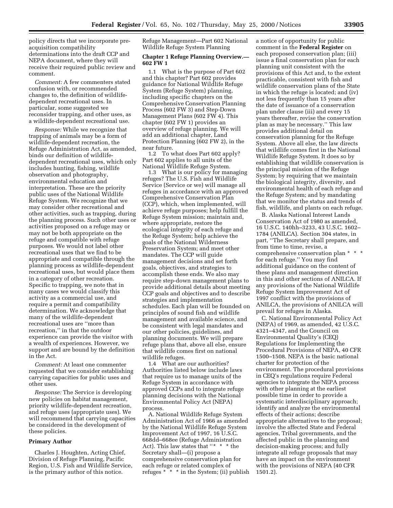policy directs that we incorporate preacquisition compatibility determinations into the draft CCP and NEPA document, where they will receive their required public review and comment.

*Comment:* A few commenters stated confusion with, or recommended changes to, the definition of wildlifedependent recreational uses. In particular, some suggested we reconsider trapping, and other uses, as a wildlife-dependent recreational use.

*Response:* While we recognize that trapping of animals may be a form of wildlife-dependent recreation, the Refuge Administration Act, as amended, binds our definition of wildlifedependent recreational uses, which only includes hunting, fishing, wildlife observation and photography, environmental education and interpretation. These are the priority public uses of the National Wildlife Refuge System. We recognize that we may consider other recreational and other activities, such as trapping, during the planning process. Such other uses or activities proposed on a refuge may or may not be both appropriate on the refuge and compatible with refuge purposes. We would not label other recreational uses that we find to be appropriate and compatible through the planning process as wildlife-dependent recreational uses, but would place them in a category of other recreation. Specific to trapping, we note that in many cases we would classify this activity as a commercial use, and require a permit and compatibility determination. We acknowledge that many of the wildlife-dependent recreational uses are ''more than recreation,'' in that the outdoor experience can provide the visitor with a wealth of experiences. However, we support and are bound by the definition in the Act.

*Comment:* At least one commenter requested that we consider establishing carrying capacities for public uses and other uses.

*Response:* The Service is developing new policies on habitat management, priority wildlife-dependent recreation, and refuge uses (appropriate uses). We will recommend that carrying capacities be considered in the development of these policies.

#### **Primary Author**

Charles J. Houghten, Acting Chief, Division of Refuge Planning, Pacific Region, U.S. Fish and Wildlife Service, is the primary author of this notice.

Refuge Management—Part 602 National Wildlife Refuge System Planning

#### **Chapter 1 Refuge Planning Overview.— 602 FW 1**

1.1 What is the purpose of Part 602 and this chapter? Part 602 provides guidance for National Wildlife Refuge System (Refuge System) planning, including specific chapters on the Comprehensive Conservation Planning Process (602 FW 3) and Step-Down Management Plans (602 FW 4). This chapter (602 FW 1) provides an overview of refuge planning. We will add an additional chapter, Land Protection Planning (602 FW 2), in the near future.

1.2 To what does Part 602 apply? Part 602 applies to all units of the National Wildlife Refuge System.

1.3 What is our policy for managing refuges? The U.S. Fish and Wildlife Service (Service or we) will manage all refuges in accordance with an approved Comprehensive Conservation Plan (CCP), which, when implemented, will achieve refuge purposes; help fulfill the Refuge System mission; maintain and, where appropriate, restore the ecological integrity of each refuge and the Refuge System; help achieve the goals of the National Wilderness Preservation System; and meet other mandates. The CCP will guide management decisions and set forth goals, objectives, and strategies to accomplish these ends. We also may require step-down management plans to provide additional details about meeting CCP goals and objectives and to describe strategies and implementation schedules. Each plan will be founded on principles of sound fish and wildlife management and available science, and be consistent with legal mandates and our other policies, guidelines, and planning documents. We will prepare refuge plans that, above all else, ensure that wildlife comes first on national wildlife refuges.

1.4 What are our authorities? Authorities listed below include laws that require us to manage units of the Refuge System in accordance with approved CCPs and to integrate refuge planning decisions with the National Environmental Policy Act (NEPA) process.

A. National Wildlife Refuge System Administration Act of 1966 as amended by the National Wildlife Refuge System Improvement Act of 1997, 16 U.S.C. 668dd–668ee (Refuge Administration Act). This law states that "\* \* \* the Secretary shall—(i) propose a comprehensive conservation plan for each refuge or related complex of refuges \* \* \* in the System; (ii) publish a notice of opportunity for public comment in the **Federal Register** on each proposed conservation plan; (iii) issue a final conservation plan for each planning unit consistent with the provisions of this Act and, to the extent practicable, consistent with fish and wildlife conservation plans of the State in which the refuge is located; and (iv) not less frequently than 15 years after the date of issuance of a conservation plan under clause (iii) and every 15 years thereafter, revise the conservation plan as may be necessary.'' This law provides additional detail on conservation planning for the Refuge System. Above all else, the law directs that wildlife comes first in the National Wildlife Refuge System. It does so by establishing that wildlife conservation is the principal mission of the Refuge System; by requiring that we maintain the biological integrity, diversity, and environmental health of each refuge and the Refuge System; and by mandating that we monitor the status and trends of fish, wildlife, and plants on each refuge.

B. Alaska National Interest Lands Conservation Act of 1980 as amended, 16 U.S.C. 140hh–3233, 43 U.S.C. 1602– 1784 (ANILCA). Section 304 states, in part, ''The Secretary shall prepare, and from time to time, revise, a comprehensive conservation plan \* \* \* for each refuge.'' You may find additional guidance on the content of these plans and management direction in this and other sections of ANILCA. If any provisions of the National Wildlife Refuge System Improvement Act of 1997 conflict with the provisions of ANILCA, the provisions of ANILCA will prevail for refuges in Alaska.

C. National Environmental Policy Act (NEPA) of 1969, as amended, 42 U.S.C. 4321–4347, and the Council on Environmental Quality's (CEQ) Regulations for Implementing the Procedural Provisions of NEPA, 40 CFR 1500–1508. NEPA is the basic national charter for protection of the environment. The procedural provisions in CEQ's regulations require Federal agencies to integrate the NEPA process with other planning at the earliest possible time in order to provide a systematic interdisciplinary approach; identify and analyze the environmental effects of their actions; describe appropriate alternatives to the proposal; involve the affected State and Federal agencies, Tribal governments, and the affected public in the planning and decision-making process; and fully integrate all refuge proposals that may have an impact on the environment with the provisions of NEPA (40 CFR 1501.2).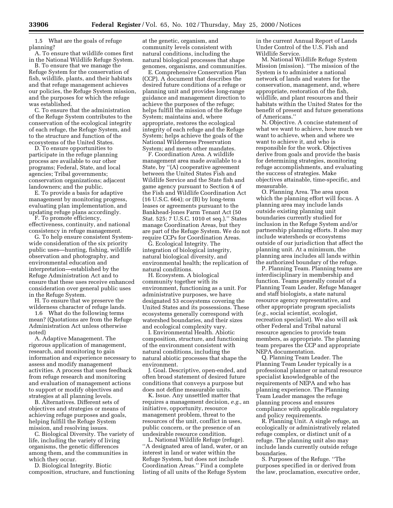1.5 What are the goals of refuge planning?

A. To ensure that wildlife comes first in the National Wildlife Refuge System.

B. To ensure that we manage the Refuge System for the conservation of fish, wildlife, plants, and their habitats and that refuge management achieves our policies, the Refuge System mission, and the purposes for which the refuge was established.

C. To ensure that the administration of the Refuge System contributes to the conservation of the ecological integrity of each refuge, the Refuge System, and to the structure and function of the ecosystems of the United States.

D. To ensure opportunities to participate in the refuge planning process are available to our other programs; Federal, State, and local agencies; Tribal governments; conservation organizations; adjacent landowners; and the public.

E. To provide a basis for adaptive management by monitoring progress, evaluating plan implementation, and updating refuge plans accordingly.

F. To promote efficiency, effectiveness, continuity, and national consistency in refuge management.

G. To help ensure consistent Systemwide consideration of the six priority public uses—hunting, fishing, wildlife observation and photography, and environmental education and interpretation—established by the Refuge Administration Act and to ensure that these uses receive enhanced consideration over general public uses in the Refuge System.

H. To ensure that we preserve the wilderness character of refuge lands.

1.6 What do the following terms mean? (Quotations are from the Refuge Administration Act unless otherwise noted)

A. Adaptive Management. The rigorous application of management, research, and monitoring to gain information and experience necessary to assess and modify management activities. A process that uses feedback from refuge research and monitoring and evaluation of management actions to support or modify objectives and strategies at all planning levels.

B. Alternatives. Different sets of objectives and strategies or means of achieving refuge purposes and goals, helping fulfill the Refuge System mission, and resolving issues.

C. Biological Diversity. The variety of life, including the variety of living organisms, the genetic differences among them, and the communities in which they occur.

D. Biological Integrity. Biotic composition, structure, and functioning

at the genetic, organism, and community levels consistent with natural conditions, including the natural biological processes that shape genomes, organisms, and communities.

E. Comprehensive Conservation Plan (CCP). A document that describes the desired future conditions of a refuge or planning unit and provides long-range guidance and management direction to achieve the purposes of the refuge; helps fulfill the mission of the Refuge System; maintains and, where appropriate, restores the ecological integrity of each refuge and the Refuge System; helps achieve the goals of the National Wilderness Preservation System; and meets other mandates.

F. Coordination Area. A wildlife management area made available to a State, by ''(A) cooperative agreement between the United States Fish and Wildlife Service and the State fish and game agency pursuant to Section 4 of the Fish and Wildlife Coordination Act (16 U.S.C. 664); or (B) by long-term leases or agreements pursuant to the Bankhead-Jones Farm Tenant Act (50 Stat. 525; 7 U.S.C. 1010 et seq.).'' States manage Coordination Areas, but they are part of the Refuge System. We do not require CCPs for Coordination Areas.

G. Ecological Integrity. The integration of biological integrity, natural biological diversity, and environmental health; the replication of natural conditions.

H. Ecosystem. A biological community together with its environment, functioning as a unit. For administrative purposes, we have designated 53 ecosystems covering the United States and its possessions. These ecosystems generally correspond with watershed boundaries, and their sizes and ecological complexity vary.

I. Environmental Health. Abiotic composition, structure, and functioning of the environment consistent with natural conditions, including the natural abiotic processes that shape the environment.

J. Goal. Descriptive, open-ended, and often broad statement of desired future conditions that conveys a purpose but does not define measurable units.

K. Issue. Any unsettled matter that requires a management decision, *e.g.,* an initiative, opportunity, resource management problem, threat to the resources of the unit, conflict in uses, public concern, or the presence of an undesirable resource condition.

L. National Wildlife Refuge (refuge). ''A designated area of land, water, or an interest in land or water within the Refuge System, but does not include Coordination Areas.'' Find a complete listing of all units of the Refuge System

in the current Annual Report of Lands Under Control of the U.S. Fish and Wildlife Service.

M. National Wildlife Refuge System Mission (mission). ''The mission of the System is to administer a national network of lands and waters for the conservation, management, and, where appropriate, restoration of the fish, wildlife, and plant resources and their habitats within the United States for the benefit of present and future generations of Americans.''

N. Objective. A concise statement of what we want to achieve, how much we want to achieve, when and where we want to achieve it, and who is responsible for the work. Objectives derive from goals and provide the basis for determining strategies, monitoring refuge accomplishments, and evaluating the success of strategies. Make objectives attainable, time-specific, and measurable.

O. Planning Area. The area upon which the planning effort will focus. A planning area may include lands outside existing planning unit boundaries currently studied for inclusion in the Refuge System and/or partnership planning efforts. It also may include watersheds or ecosystems outside of our jurisdiction that affect the planning unit. At a minimum, the planning area includes all lands within the authorized boundary of the refuge.

P. Planning Team. Planning teams are interdisciplinary in membership and function. Teams generally consist of a Planning Team Leader, Refuge Manager and staff biologists, a state natural resource agency representative, and other appropriate program specialists (*e.g.,* social scientist, ecologist, recreation specialist). We also will ask other Federal and Tribal natural resource agencies to provide team members, as appropriate. The planning team prepares the CCP and appropriate NEPA documentation.

Q. Planning Team Leader. The Planning Team Leader typically is a professional planner or natural resource specialist knowledgeable of the requirements of NEPA and who has planning experience. The Planning Team Leader manages the refuge planning process and ensures compliance with applicable regulatory and policy requirements.

R. Planning Unit. A single refuge, an ecologically or administratively related refuge complex, or distinct unit of a refuge. The planning unit also may include lands currently outside refuge boundaries.

S. Purposes of the Refuge. ''The purposes specified in or derived from the law, proclamation, executive order,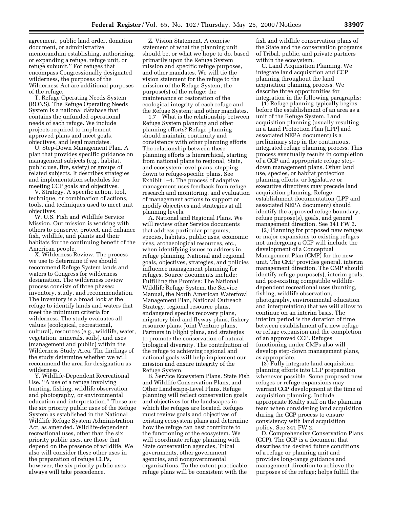agreement, public land order, donation document, or administrative memorandum establishing, authorizing, or expanding a refuge, refuge unit, or refuge subunit.'' For refuges that encompass Congressionally designated wilderness, the purposes of the Wilderness Act are additional purposes of the refuge.

T. Refuge Operating Needs System (RONS). The Refuge Operating Needs System is a national database that contains the unfunded operational needs of each refuge. We include projects required to implement approved plans and meet goals, objectives, and legal mandates.

U. Step-Down Management Plan. A plan that provides specific guidance on management subjects (e.g., habitat, public use, fire, safety) or groups of related subjects. It describes strategies and implementation schedules for meeting CCP goals and objectives.

V. Strategy. A specific action, tool, technique, or combination of actions, tools, and techniques used to meet unit objectives.

W. U.S. Fish and Wildlife Service Mission. Our mission is working with others to conserve, protect, and enhance fish, wildlife, and plants and their habitats for the continuing benefit of the American people.

X. Wilderness Review. The process we use to determine if we should recommend Refuge System lands and waters to Congress for wilderness designation. The wilderness review process consists of three phases: inventory, study, and recommendation. The inventory is a broad look at the refuge to identify lands and waters that meet the minimum criteria for wilderness. The study evaluates all values (ecological, recreational, cultural), resources (e.g., wildlife, water, vegetation, minerals, soils), and uses (management and public) within the Wilderness Study Area. The findings of the study determine whether we will recommend the area for designation as wilderness.

Y. Wildlife-Dependent Recreational Use. ''A use of a refuge involving hunting, fishing, wildlife observation and photography, or environmental education and interpretation.'' These are the six priority public uses of the Refuge System as established in the National Wildlife Refuge System Administration Act, as amended. Wildlife-dependent recreational uses, other than the six priority public uses, are those that depend on the presence of wildlife. We also will consider these other uses in the preparation of refuge CCPs, however, the six priority public uses always will take precedence.

Z. Vision Statement. A concise statement of what the planning unit should be, or what we hope to do, based primarily upon the Refuge System mission and specific refuge purposes, and other mandates. We will tie the vision statement for the refuge to the mission of the Refuge System; the purpose(s) of the refuge; the maintenance or restoration of the ecological integrity of each refuge and the Refuge System; and other mandates.

1.7 What is the relationship between Refuge System planning and other planning efforts? Refuge planning should maintain continuity and consistency with other planning efforts. The relationship between these planning efforts is hierarchical, starting from national plans to regional, State, and ecosystem-level plans, stepping down to refuge-specific plans. See Exhibit 1–1. The process of adaptive management uses feedback from refuge research and monitoring, and evaluation of management actions to support or modify objectives and strategies at all planning levels.

A. National and Regional Plans. We will review other Service documents that address particular programs, species, habitats, public uses, economic uses, archaeological resources, etc., when identifying issues to address in refuge planning. National and regional goals, objectives, strategies, and policies influence management planning for refuges. Source documents include: Fulfilling the Promise: The National Wildlife Refuge System, the Service Manual, the North American Waterfowl Management Plan, National Outreach Strategy, regional resource plans, endangered species recovery plans, migratory bird and flyway plans, fishery resource plans, Joint Venture plans, Partners in Flight plans, and strategies to promote the conservation of natural biological diversity. The contribution of the refuge to achieving regional and national goals will help implement our mission and ensure integrity of the Refuge System.

B. Service Ecosystem Plans, State Fish and Wildlife Conservation Plans, and Other Landscape-Level Plans. Refuge planning will reflect conservation goals and objectives for the landscapes in which the refuges are located. Refuges must review goals and objectives of existing ecosystem plans and determine how the refuge can best contribute to the functioning of the ecosystem. We will coordinate refuge planning with State conservation agencies, Tribal governments, other government agencies, and nongovernmental organizations. To the extent practicable, refuge plans will be consistent with the

fish and wildlife conservation plans of the State and the conservation programs of Tribal, public, and private partners within the ecosystem.

C. Land Acquisition Planning. We integrate land acquisition and CCP planning throughout the land acquisition planning process. We describe three opportunities for integration in the following paragraphs:

(1) Refuge planning typically begins before the establishment of an area as a unit of the Refuge System. Land acquisition planning (usually resulting in a Land Protection Plan [LPP] and associated NEPA document) is a preliminary step in the continuous, integrated refuge planning process. This process eventually results in completion of a CCP and appropriate refuge stepdown management plans. Other land use, species, or habitat protection planning efforts, or legislative or executive directives may precede land acquisition planning. Refuge establishment documentation (LPP and associated NEPA document) should identify the approved refuge boundary, refuge purpose(s), goals, and general management direction. See 341 FW 2.

(2) Planning for proposed new refuges or major expansions to existing refuges not undergoing a CCP will include the development of a Conceptual Management Plan (CMP) for the new unit. The CMP provides general, interim management direction. The CMP should identify refuge purpose(s), interim goals, and pre-existing compatible wildlifedependent recreational uses (hunting, fishing, wildlife observation, photography, environmental education and interpretation) that we will allow to continue on an interim basis. The interim period is the duration of time between establishment of a new refuge or refuge expansion and the completion of an approved CCP. Refuges functioning under CMPs also will develop step-down management plans, as appropriate.

(3) Fully integrate land acquisition planning efforts into CCP preparation whenever possible. Some proposed new refuges or refuge expansions may warrant CCP development at the time of acquisition planning. Include appropriate Realty staff on the planning team when considering land acquisition during the CCP process to ensure consistency with land acquisition policy. See 341 FW 2.

D. Comprehensive Conservation Plans (CCP). The CCP is a document that describes the desired future conditions of a refuge or planning unit and provides long-range guidance and management direction to achieve the purposes of the refuge; helps fulfill the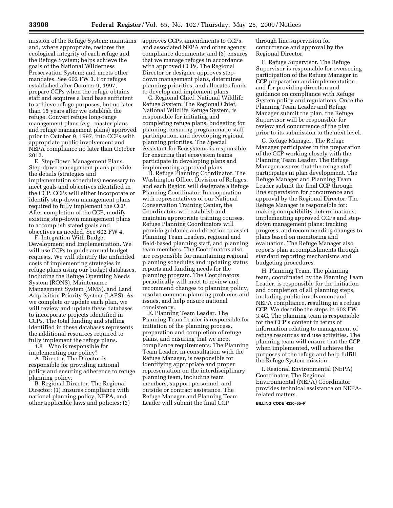mission of the Refuge System; maintains and, where appropriate, restores the ecological integrity of each refuge and the Refuge System; helps achieve the goals of the National Wilderness Preservation System; and meets other mandates. See 602 FW 3. For refuges established after October 9, 1997, prepare CCPs when the refuge obtains staff and acquires a land base sufficient to achieve refuge purposes, but no later than 15 years after we establish the refuge. Convert refuge long-range management plans (*e.g.,* master plans and refuge management plans) approved prior to October 9, 1997, into CCPs with appropriate public involvement and NEPA compliance no later than October 2012.

E. Step-Down Management Plans. Step-down management plans provide the details (strategies and implementation schedules) necessary to meet goals and objectives identified in the CCP. CCPs will either incorporate or identify step-down management plans required to fully implement the CCP. After completion of the CCP, modify existing step-down management plans to accomplish stated goals and objectives as needed. See 602 FW 4.

F. Integration With Budget Development and Implementation. We will use CCPs to guide annual budget requests. We will identify the unfunded costs of implementing strategies in refuge plans using our budget databases, including the Refuge Operating Needs System (RONS), Maintenance Management System (MMS), and Land Acquisition Priority System (LAPS). As we complete or update each plan, we will review and update these databases to incorporate projects identified in CCPs. The total funding and staffing identified in these databases represents the additional resources required to fully implement the refuge plans.

1.8 Who is responsible for implementing our policy?

A. Director. The Director is responsible for providing national policy and ensuring adherence to refuge planning policy.

B. Regional Director. The Regional Director: (1) Ensures compliance with national planning policy, NEPA, and other applicable laws and policies; (2) approves CCPs, amendments to CCPs, and associated NEPA and other agency compliance documents; and (3) ensures that we manage refuges in accordance with approved CCPs. The Regional Director or designee approves stepdown management plans, determines planning priorities, and allocates funds to develop and implement plans.

C. Regional Chief, National Wildlife Refuge System. The Regional Chief, National Wildlife Refuge System, is responsible for initiating and completing refuge plans, budgeting for planning, ensuring programmatic staff participation, and developing regional planning priorities. The Special Assistant for Ecosystems is responsible for ensuring that ecosystem teams participate in developing plans and implementing approved plans.

D. Refuge Planning Coordinator. The Washington Office, Division of Refuges, and each Region will designate a Refuge Planning Coordinator. In cooperation with representatives of our National Conservation Training Center, the Coordinators will establish and maintain appropriate training courses. Refuge Planning Coordinators will provide guidance and direction to assist Planning Team Leaders, regional and field-based planning staff, and planning team members. The Coordinators also are responsible for maintaining regional planning schedules and updating status reports and funding needs for the planning program. The Coordinators periodically will meet to review and recommend changes to planning policy, resolve common planning problems and issues, and help ensure national consistency.

E. Planning Team Leader. The Planning Team Leader is responsible for initiation of the planning process, preparation and completion of refuge plans, and ensuring that we meet compliance requirements. The Planning Team Leader, in consultation with the Refuge Manager, is responsible for identifying appropriate and proper representation on the interdisciplinary planning team, including team members, support personnel, and outside or contract assistance. The Refuge Manager and Planning Team Leader will submit the final CCP

through line supervision for concurrence and approval by the Regional Director.

F. Refuge Supervisor. The Refuge Supervisor is responsible for overseeing participation of the Refuge Manager in CCP preparation and implementation, and for providing direction and guidance on compliance with Refuge System policy and regulations. Once the Planning Team Leader and Refuge Manager submit the plan, the Refuge Supervisor will be responsible for review and concurrence of the plan prior to its submission to the next level.

G. Refuge Manager. The Refuge Manager participates in the preparation of the CCP working closely with the Planning Team Leader. The Refuge Manager assures that the refuge staff participates in plan development. The Refuge Manager and Planning Team Leader submit the final CCP through line supervision for concurrence and approval by the Regional Director. The Refuge Manager is responsible for: making compatibility determinations; implementing approved CCPs and stepdown management plans; tracking progress; and recommending changes to plans based on monitoring and evaluation. The Refuge Manager also reports plan accomplishments through standard reporting mechanisms and budgeting procedures.

H. Planning Team. The planning team, coordinated by the Planning Team Leader, is responsible for the initiation and completion of all planning steps, including public involvement and NEPA compliance, resulting in a refuge CCP. We describe the steps in 602 FW 3.4C. The planning team is responsible for the CCP's content in terms of information relating to management of refuge resources and use activities. The planning team will ensure that the CCP, when implemented, will achieve the purposes of the refuge and help fulfill the Refuge System mission.

I. Regional Environmental (NEPA) Coordinator. The Regional Environmental (NEPA) Coordinator provides technical assistance on NEPArelated matters.

**BILLING CODE 4310–55–P**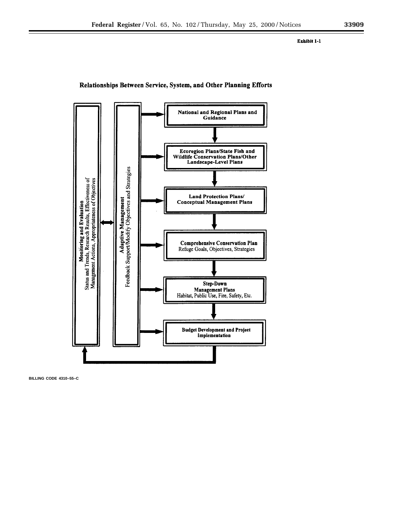#### Exhibit 1-1



#### Relationships Between Service, System, and Other Planning Efforts

**BILLING CODE 4310–55–C**

÷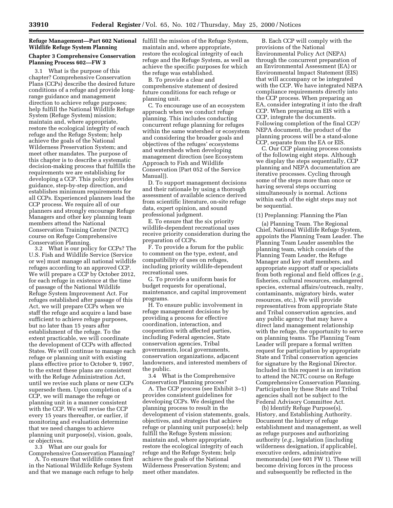## **Wildlife Refuge System Planning**

#### **Chapter 3 Comprehensive Conservation Planning Process 602—FW 3**

3.1 What is the purpose of this chapter? Comprehensive Conservation Plans (CCPs) describe the desired future conditions of a refuge and provide longrange guidance and management direction to achieve refuge purposes; help fulfill the National Wildlife Refuge System (Refuge System) mission; maintain and, where appropriate, restore the ecological integrity of each refuge and the Refuge System; help achieve the goals of the National Wilderness Preservation System; and meet other mandates. The purpose of this chapter is to describe a systematic decision-making process that fulfills the requirements we are establishing for developing a CCP. This policy provides guidance, step-by-step direction, and establishes minimum requirements for all CCPs. Experienced planners lead the CCP process. We require all of our planners and strongly encourage Refuge Managers and other key planning team members attend the National Conservation Training Center (NCTC) course on Refuge Comprehensive Conservation Planning.

3.2 What is our policy for CCPs? The U.S. Fish and Wildlife Service (Service or we) must manage all national wildlife refuges according to an approved CCP. We will prepare a CCP by October 2012, for each refuge in existence at the time of passage of the National Wildlife Refuge System Improvement Act. For refuges established after passage of this Act, we will prepare CCPs when we staff the refuge and acquire a land base sufficient to achieve refuge purposes, but no later than 15 years after establishment of the refuge. To the extent practicable, we will coordinate the development of CCPs with affected States. We will continue to manage each refuge or planning unit with existing plans effective prior to October 9, 1997, to the extent these plans are consistent with the Refuge Administration Act, until we revise such plans or new CCPs supersede them. Upon completion of a CCP, we will manage the refuge or planning unit in a manner consistent with the CCP. We will revise the CCP every 15 years thereafter, or earlier, if monitoring and evaluation determine that we need changes to achieve planning unit purpose(s), vision, goals, or objectives.

3.3 What are our goals for Comprehensive Conservation Planning?

A. To ensure that wildlife comes first in the National Wildlife Refuge System and that we manage each refuge to help

**Refuge Management—Part 602 National** fulfill the mission of the Refuge System, maintain and, where appropriate, restore the ecological integrity of each refuge and the Refuge System, as well as achieve the specific purposes for which the refuge was established.

> B. To provide a clear and comprehensive statement of desired future conditions for each refuge or planning unit.

C. To encourage use of an ecosystem approach when we conduct refuge planning. This includes conducting concurrent refuge planning for refuges within the same watershed or ecosystem and considering the broader goals and objectives of the refuges' ecosystems and watersheds when developing management direction (see Ecosystem Approach to Fish and Wildlife Conservation [Part 052 of the Service Manual]).

D. To support management decisions and their rationale by using a thorough assessment of available science derived from scientific literature, on-site refuge data, expert opinion, and sound professional judgment.

E. To ensure that the six priority wildlife-dependent recreational uses receive priority consideration during the preparation of CCPs.

F. To provide a forum for the public to comment on the type, extent, and compatibility of uses on refuges, including priority wildlife-dependent recreational uses.

G. To provide a uniform basis for budget requests for operational, maintenance, and capital improvement programs.

H. To ensure public involvement in refuge management decisions by providing a process for effective coordination, interaction, and cooperation with affected parties, including Federal agencies, State conservation agencies, Tribal governments, local governments, conservation organizations, adjacent landowners, and interested members of the public.

3.4 What is the Comprehensive Conservation Planning process?

A. The CCP process (see Exhibit 3–1) provides consistent guidelines for developing CCPs. We designed the planning process to result in the development of vision statements, goals, objectives, and strategies that achieve refuge or planning unit purpose(s); help fulfill the Refuge System mission; maintain and, where appropriate, restore the ecological integrity of each refuge and the Refuge System; help achieve the goals of the National Wilderness Preservation System; and meet other mandates.

B. Each CCP will comply with the provisions of the National Environmental Policy Act (NEPA) through the concurrent preparation of an Environmental Assessment (EA) or Environmental Impact Statement (EIS) that will accompany or be integrated with the CCP. We have integrated NEPA compliance requirements directly into the CCP process. When preparing an EA, consider integrating it into the draft CCP. When preparing an EIS with a CCP, integrate the documents. Following completion of the final CCP/ NEPA document, the product of the planning process will be a stand-alone CCP, separate from the EA or EIS.

C. Our CCP planning process consists of the following eight steps. Although we display the steps sequentially, CCP planning and NEPA documentation are iterative processes. Cycling through some of the steps more than once or having several steps occurring simultaneously is normal. Actions within each of the eight steps may not be sequential.

#### (1) Preplanning: Planning the Plan

(a) Planning Team. The Regional Chief, National Wildlife Refuge System, appoints the Planning Team Leader. The Planning Team Leader assembles the planning team, which consists of the Planning Team Leader, the Refuge Manager and key staff members, and appropriate support staff or specialists from both regional and field offices (*e.g.,* fisheries, cultural resources, endangered species, external affairs/outreach, realty, contaminants, migratory birds, water resources, etc.). We will provide representatives from appropriate State and Tribal conservation agencies, and any public agency that may have a direct land management relationship with the refuge, the opportunity to serve on planning teams. The Planning Team Leader will prepare a formal written request for participation by appropriate State and Tribal conservation agencies for signature by the Regional Director. Included in this request is an invitation to attend the NCTC course on Refuge Comprehensive Conservation Planning. Participation by these State and Tribal agencies shall not be subject to the Federal Advisory Committee Act.

(b) Identify Refuge Purpose(s), History, and Establishing Authority. Document the history of refuge establishment and management, as well as refuge purposes and authorizing authority (*e.g.,* legislation [including wilderness designation, if applicable], executive orders, administrative memoranda) (*see* 601 FW 1). These will become driving forces in the process and subsequently be reflected in the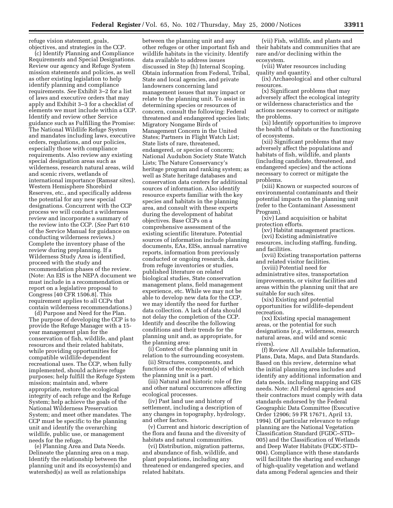refuge vision statement, goals, objectives, and strategies in the CCP.

(c) Identify Planning and Compliance Requirements and Special Designations. Review our agency and Refuge System mission statements and policies, as well as other existing legislation to help identify planning and compliance requirements. *See* Exhibit 3–2 for a list of laws and executive orders that may apply and Exhibit 3–3 for a checklist of elements we must include within a CCP. Identify and review other Service guidance such as Fulfilling the Promise: The National Wildlife Refuge System and mandates including laws, executive orders, regulations, and our policies, especially those with compliance requirements. Also review any existing special designation areas such as wilderness, research natural areas, wild and scenic rivers, wetlands of international importance (Ramsar sites), Western Hemisphere Shorebird Reserves, etc., and specifically address the potential for any new special designations. Concurrent with the CCP process we will conduct a wilderness review and incorporate a summary of the review into the CCP. (*See* Part 610 of the Service Manual for guidance on conducting wilderness reviews.) Complete the inventory phase of the review during preplanning. If a Wilderness Study Area is identified, proceed with the study and recommendation phases of the review. (Note: An EIS is the NEPA document we must include in a recommendation or report on a legislative proposal to Congress [40 CFR 1506.8]. This requirement applies to all CCPs that contain wilderness recommendations.)

(d) Purpose and Need for the Plan. The purpose of developing the CCP is to provide the Refuge Manager with a 15 year management plan for the conservation of fish, wildlife, and plant resources and their related habitats, while providing opportunities for compatible wildlife-dependent recreational uses. The CCP, when fully implemented, should achieve refuge purposes; help fulfill the Refuge System mission; maintain and, where appropriate, restore the ecological integrity of each refuge and the Refuge System; help achieve the goals of the National Wilderness Preservation System; and meet other mandates. The CCP must be specific to the planning unit and identify the overarching wildlife, public use, or management needs for the refuge.

(e) Planning Area and Data Needs. Delineate the planning area on a map. Identify the relationship between the planning unit and its ecosystem(s) and watershed(s) as well as relationships

between the planning unit and any other refuges or other important fish and wildlife habitats in the vicinity. Identify data available to address issues discussed in Step (h) Internal Scoping. Obtain information from Federal, Tribal, State and local agencies, and private landowners concerning land management issues that may impact or relate to the planning unit. To assist in determining species or resources of concern, consult the following: Federal threatened and endangered species lists; Migratory Nongame Birds of Management Concern in the United States; Partners in Flight Watch List; State lists of rare, threatened, endangered, or species of concern; National Audubon Society State Watch Lists; The Nature Conservancy's heritage program and ranking system; as well as State heritage databases and conservation data centers for additional sources of information. Also identify resource experts familiar with the key species and habitats in the planning area, and consult with these experts during the development of habitat objectives. Base CCPs on a comprehensive assessment of the existing scientific literature. Potential sources of information include planning documents, EAs, EISs, annual narrative reports, information from previously conducted or ongoing research, data from refuge inventories or studies, published literature on related biological studies, State conservation management plans, field management experience, etc. While we may not be able to develop new data for the CCP, we may identify the need for further data collection. A lack of data should not delay the completion of the CCP. Identify and describe the following conditions and their trends for the planning unit and, as appropriate, for the planning area:

(i) Context of the planning unit in relation to the surrounding ecosystem.

(ii) Structures, components, and functions of the ecosystem(s) of which the planning unit is a part.

(iii) Natural and historic role of fire and other natural occurrences affecting ecological processes.

(iv) Past land use and history of settlement, including a description of any changes in topography, hydrology, and other factors.

(v) Current and historic description of the flora and fauna and the diversity of habitats and natural communities.

(vi) Distribution, migration patterns, and abundance of fish, wildlife, and plant populations, including any threatened or endangered species, and related habitats.

(vii) Fish, wildlife, and plants and their habitats and communities that are rare and/or declining within the ecosystem.

(viii) Water resources including quality and quantity.

(ix) Archaeological and other cultural resources.

(x) Significant problems that may adversely affect the ecological integrity or wilderness characteristics and the actions necessary to correct or mitigate the problems.

(xi) Identify opportunities to improve the health of habitats or the functioning of ecosystems.

(xii) Significant problems that may adversely affect the populations and habitats of fish, wildlife, and plants (including candidate, threatened, and endangered species) and the actions necessary to correct or mitigate the problems.

(xiii) Known or suspected sources of environmental contaminants and their potential impacts on the planning unit (refer to the Contaminant Assessment Program).

(xiv) Land acquisition or habitat protection efforts.

(xv) Habitat management practices. (xvi) Existing administrative

resources, including staffing, funding, and facilities.

(xvii) Existing transportation patterns and related visitor facilities.

(xviii) Potential need for administrative sites, transportation improvements, or visitor facilities and areas within the planning unit that are suitable for such sites.

(xix) Existing and potential opportunities for wildlife-dependent recreation.

(xx) Existing special management areas, or the potential for such designations (*e.g.,* wilderness, research natural areas, and wild and scenic rivers).

(f) Review All Available Information, Plans, Data, Maps, and Data Standards. Based on this review, determine what the initial planning area includes and identify any additional information and data needs, including mapping and GIS needs. Note: All Federal agencies and their contractors must comply with data standards endorsed by the Federal Geographic Data Committee (Executive Order 12906; 59 FR 17671, April 13, 1994). Of particular relevance to refuge planning are the National Vegetation Classification Standard (FGDC–STD– 005) and the Classification of Wetlands and Deep Water Habitats (FGDC-STD– 004). Compliance with these standards will facilitate the sharing and exchange of high-quality vegetation and wetland data among Federal agencies and their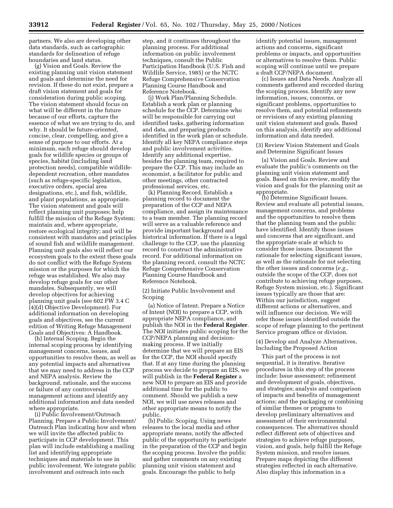partners. We also are developing other data standards, such as cartographic standards for delineation of refuge boundaries and land status.

(g) Vision and Goals. Review the existing planning unit vision statement and goals and determine the need for revision. If these do not exist, prepare a draft vision statement and goals for consideration during public scoping. The vision statement should focus on what will be different in the future because of our efforts, capture the essence of what we are trying to do, and why. It should be future-oriented, concise, clear, compelling, and give a sense of purpose to our efforts. At a minimum, each refuge should develop goals for wildlife species or groups of species, habitat (including land protection needs), compatible wildlifedependent recreation, other mandates (such as refuge-specific legislation, executive orders, special area designations, etc.), and fish, wildlife, and plant populations, as appropriate. The vision statement and goals will reflect planning unit purposes; help fulfill the mission of the Refuge System; maintain and, where appropriate, restore ecological integrity; and will be consistent with mandates and principles of sound fish and wildlife management. Planning unit goals also will reflect our ecosystem goals to the extent these goals do not conflict with the Refuge System mission or the purposes for which the refuge was established. We also may develop refuge goals for our other mandates. Subsequently, we will develop objectives for achieving planning unit goals (see 602 FW 3.4 C (4)(d) Objective Development). For additional information on developing goals and objectives, see the current edition of Writing Refuge Management Goals and Objectives: A Handbook.

(h) Internal Scoping. Begin the internal scoping process by identifying management concerns, issues, and opportunities to resolve them, as well as any potential impacts and alternatives that we may need to address in the CCP and NEPA analysis. Review the background, rationale, and the success or failure of any controversial management actions and identify any additional information and data needed where appropriate.

(i) Public Involvement/Outreach Planning. Prepare a Public Involvement/ Outreach Plan indicating how and when we will invite the affected public to participate in CCP development. This plan will include establishing a mailing list and identifying appropriate techniques and materials to use in public involvement. We integrate public involvement and outreach into each

step, and it continues throughout the planning process. For additional information on public involvement techniques, consult the Public Participation Handbook (U.S. Fish and Wildlife Service, 1985) or the NCTC Refuge Comprehensive Conservation Planning Course Handbook and Reference Notebook.

(j) Work Plan/Planning Schedule. Establish a work plan or planning schedule for the CCP. Determine who will be responsible for carrying out identified tasks, gathering information and data, and preparing products identified in the work plan or schedule. Identify all key NEPA compliance steps and public involvement activities. Identify any additional expertise, besides the planning team, required to prepare the CCP. This may include an economist, a facilitator for public and other meetings, other contracted professional services, etc.

(k) Planning Record. Establish a planning record to document the preparation of the CCP and NEPA compliance, and assign its maintenance to a team member. The planning record will serve as a valuable reference and provide important background and historical information. If there is a legal challenge to the CCP, use the planning record to construct the administrative record. For additional information on the planning record, consult the NCTC Refuge Comprehensive Conservation Planning Course Handbook and Reference Notebook.

(2) Initiate Public Involvement and Scoping

(a) Notice of Intent. Prepare a Notice of Intent (NOI) to prepare a CCP, with appropriate NEPA compliance, and publish the NOI in the **Federal Register**. The NOI initiates public scoping for the CCP/NEPA planning and decisionmaking process. If we initially determine that we will prepare an EIS for the CCP, the NOI should specify that. If at any time during the planning process we decide to prepare an EIS, we will publish in the **Federal Register** a new NOI to prepare an EIS and provide additional time for the public to comment. Should we publish a new NOI, we will use news releases and other appropriate means to notify the public.

(b) Public Scoping. Using news releases to the local media and other appropriate means, notify the affected public of the opportunity to participate in the preparation of the CCP and begin the scoping process. Involve the public and gather comments on any existing planning unit vision statement and goals. Encourage the public to help

identify potential issues, management actions and concerns, significant problems or impacts, and opportunities or alternatives to resolve them. Public scoping will continue until we prepare a draft CCP/NEPA document.

(c) Issues and Data Needs. Analyze all comments gathered and recorded during the scoping process. Identify any new information, issues, concerns, or significant problems, opportunities to resolve them, and potential refinements or revisions of any existing planning unit vision statement and goals. Based on this analysis, identify any additional information and data needed.

(3) Review Vision Statement and Goals and Determine Significant Issues

(a) Vision and Goals. Review and evaluate the public's comments on the planning unit vision statement and goals. Based on this review, modify the vision and goals for the planning unit as appropriate.

(b) Determine Significant Issues. Review and evaluate all potential issues, management concerns, and problems and the opportunities to resolve them that the planning team and the public have identified. Identify those issues and concerns that are significant, and the appropriate scale at which to consider those issues. Document the rationale for selecting significant issues, as well as the rationale for not selecting the other issues and concerns (*e.g.,* outside the scope of the CCP, does not contribute to achieving refuge purposes, Refuge System mission, etc.). Significant issues typically are those that are: Within our jurisdiction, suggest different actions or alternatives, and will influence our decision. We will refer those issues identified outside the scope of refuge planning to the pertinent Service program office or division.

(4) Develop and Analyze Alternatives, Including the Proposed Action

This part of the process is not sequential, it is iterative. Iterative procedures in this step of the process include: Issue assessment; refinement and development of goals, objectives, and strategies; analysis and comparison of impacts and benefits of management actions; and the packaging or combining of similar themes or programs to develop preliminary alternatives and assessment of their environmental consequences. The alternatives should reflect different sets of objectives and strategies to achieve refuge purposes, vision, and goals, help fulfill the Refuge System mission, and resolve issues. Prepare maps depicting the different strategies reflected in each alternative. Also display this information in a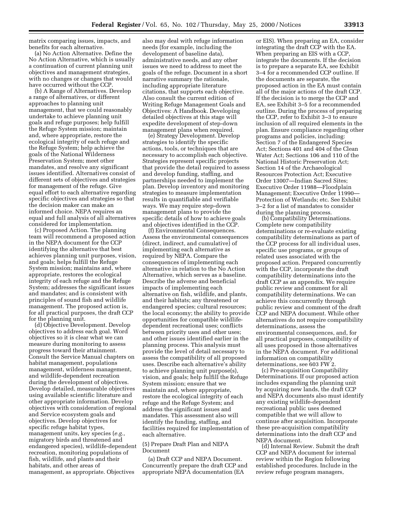matrix comparing issues, impacts, and benefits for each alternative.

(a) No Action Alternative. Define the No Action Alternative, which is usually a continuation of current planning unit objectives and management strategies, with no changes or changes that would have occurred without the CCP.

(b) A Range of Alternatives. Develop a range of alternatives, or different approaches to planning unit management, that we could reasonably undertake to achieve planning unit goals and refuge purposes; help fulfill the Refuge System mission; maintain and, where appropriate, restore the ecological integrity of each refuge and the Refuge System; help achieve the goals of the National Wilderness Preservation System; meet other mandates, and resolve any significant issues identified. Alternatives consist of different sets of objectives and strategies for management of the refuge. Give equal effort to each alternative regarding specific objectives and strategies so that the decision maker can make an informed choice. NEPA requires an equal and full analysis of all alternatives considered for implementation.

(c) Proposed Action. The planning team will recommend a proposed action in the NEPA document for the CCP identifying the alternative that best achieves planning unit purposes, vision, and goals; helps fulfill the Refuge System mission; maintains and, where appropriate, restores the ecological integrity of each refuge and the Refuge System; addresses the significant issues and mandates; and is consistent with principles of sound fish and wildlife management. The proposed action is, for all practical purposes, the draft CCP for the planning unit.

(d) Objective Development. Develop objectives to address each goal. Word objectives so it is clear what we can measure during monitoring to assess progress toward their attainment. Consult the Service Manual chapters on habitat management, populations management, wilderness management, and wildlife-dependent recreation during the development of objectives. Develop detailed, measurable objectives using available scientific literature and other appropriate information. Develop objectives with consideration of regional and Service ecosystem goals and objectives. Develop objectives for specific refuge habitat types, management units, key species (*e.g.,* migratory birds and threatened and endangered species), wildlife-dependent recreation, monitoring populations of fish, wildlife, and plants and their habitats, and other areas of management, as appropriate. Objectives

also may deal with refuge information needs (for example, including the development of baseline data), administrative needs, and any other issues we need to address to meet the goals of the refuge. Document in a short narrative summary the rationale, including appropriate literature citations, that supports each objective. Also consult the current edition of Writing Refuge Management Goals and Objectives: A Handbook. Developing detailed objectives at this stage will expedite development of step-down management plans when required.

(e) Strategy Development. Develop strategies to identify the specific actions, tools, or techniques that are necessary to accomplish each objective. Strategies represent specific projects that provide the detail required to assess and develop funding, staffing, and partnerships needed to implement the plan. Develop inventory and monitoring strategies to measure implementation results in quantifiable and verifiable ways. We may require step-down management plans to provide the specific details of how to achieve goals and objectives identified in the CCP.

(f) Environmental Consequences. Assess the environmental consequences (direct, indirect, and cumulative) of implementing each alternative as required by NEPA. Compare the consequences of implementing each alternative in relation to the No Action Alternative, which serves as a baseline. Describe the adverse and beneficial impacts of implementing each alternative on fish, wildlife, and plants, and their habitats; any threatened or endangered species; cultural resources; the local economy; the ability to provide opportunities for compatible wildlifedependent recreational uses; conflicts between priority uses and other uses; and other issues identified earlier in the planning process. This analysis must provide the level of detail necessary to assess the compatibility of all proposed uses. Describe each alternative's ability to achieve planning unit purpose(s), vision, and goals; help fulfill the Refuge System mission; ensure that we maintain and, where appropriate, restore the ecological integrity of each refuge and the Refuge System; and address the significant issues and mandates. This assessment also will identify the funding, staffing, and facilities required for implementation of each alternative.

#### (5) Prepare Draft Plan and NEPA Document

(a) Draft CCP and NEPA Document. Concurrently prepare the draft CCP and appropriate NEPA documentation (EA

or EIS). When preparing an EA, consider integrating the draft CCP with the EA. When preparing an EIS with a CCP, integrate the documents. If the decision is to prepare a separate EA, see Exhibit 3–4 for a recommended CCP outline. If the documents are separate, the proposed action in the EA must contain all of the major actions of the draft CCP. If the decision is to merge the CCP and EA, see Exhibit 3–5 for a recommended outline. During the process of preparing the CCP, refer to Exhibit 3–3 to ensure inclusion of all required elements in the plan. Ensure compliance regarding other programs and policies, including: Section 7 of the Endangered Species Act; Sections 401 and 404 of the Clean Water Act; Sections 106 and 110 of the National Historic Preservation Act; Section 14 of the Archaeological Resources Protection Act; Executive Order 13007—Indian Sacred Sites; Executive Order 11988—Floodplain Management; Executive Order 11990— Protection of Wetlands; etc. See Exhibit 3–2 for a list of mandates to consider during the planning process.

(b) Compatibility Determinations. Complete new compatibility determinations or re-evaluate existing compatibility determinations as part of the CCP process for all individual uses, specific use programs, or groups of related uses associated with the proposed action. Prepared concurrently with the CCP, incorporate the draft compatibility determinations into the draft CCP as an appendix. We require public review and comment for all compatibility determinations. We can achieve this concurrently through public review and comment of the draft CCP and NEPA document. While other alternatives do not require compatibility determinations, assess the environmental consequences, and, for all practical purposes, compatibility of all uses proposed in those alternatives in the NEPA document. For additional information on compatibility determinations, see 603 FW 2.

(c) Pre-acquisition Compatibility Determinations. If our proposed action includes expanding the planning unit by acquiring new lands, the draft CCP and NEPA documents also must identify any existing wildlife-dependent recreational public uses deemed compatible that we will allow to continue after acquisition. Incorporate these pre-acquisition compatibility determinations into the draft CCP and NEPA document.

(d) Internal Review. Submit the draft CCP and NEPA document for internal review within the Region following established procedures. Include in the review refuge program managers,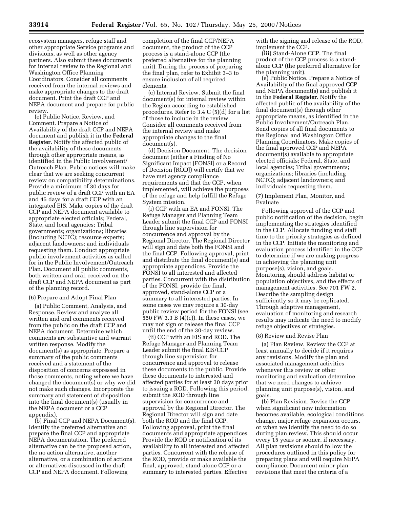ecosystem managers, refuge staff and other appropriate Service programs and divisions, as well as other agency partners. Also submit these documents for internal review to the Regional and Washington Office Planning Coordinators. Consider all comments received from the internal reviews and make appropriate changes to the draft document. Print the draft CCP and NEPA document and prepare for public review.

(e) Public Notice, Review, and Comment. Prepare a Notice of Availability of the draft CCP and NEPA document and publish it in the **Federal Register**. Notify the affected public of the availability of these documents through other appropriate means, as identified in the Public Involvement/ Outreach Plan. Public notices will make clear that we are seeking concurrent review on compatibility determinations. Provide a minimum of 30 days for public review of a draft CCP with an EA and 45 days for a draft CCP with an integrated EIS. Make copies of the draft CCP and NEPA document available to appropriate elected officials; Federal, State, and local agencies; Tribal governments; organizations; libraries (including NCTC); resource experts; adjacent landowners; and individuals requesting them. Conduct appropriate public involvement activities as called for in the Public Involvement/Outreach Plan. Document all public comments, both written and oral, received on the draft CCP and NEPA document as part of the planning record.

#### (6) Prepare and Adopt Final Plan

(a) Public Comment, Analysis, and Response. Review and analyze all written and oral comments received from the public on the draft CCP and NEPA document. Determine which comments are substantive and warrant written response. Modify the document(s) as appropriate. Prepare a summary of the public comments received and a statement of the disposition of concerns expressed in those comments, noting where we have changed the document(s) or why we did not make such changes. Incorporate the summary and statement of disposition into the final document(s) (usually in the NEPA document or a CCP appendix).

(b) Final CCP and NEPA Document(s). Identify the preferred alternative and prepare the final CCP and appropriate NEPA documentation. The preferred alternative can be the proposed action, the no action alternative, another alternative, or a combination of actions or alternatives discussed in the draft CCP and NEPA document. Following

completion of the final CCP/NEPA document, the product of the CCP process is a stand-alone CCP (the preferred alternative for the planning unit). During the process of preparing the final plan, refer to Exhibit 3–3 to ensure inclusion of all required elements.

(c) Internal Review. Submit the final document(s) for internal review within the Region according to established procedures. Refer to 3.4 C (5)(d) for a list of those to include in the review. Consider all comments received from the internal review and make appropriate changes to the final document(s).

(d) Decision Document. The decision document (either a Finding of No Significant Impact [FONSI] or a Record of Decision [ROD]) will certify that we have met agency compliance requirements and that the CCP, when implemented, will achieve the purposes of the refuge and help fulfill the Refuge System mission.

(i) CCP with an EA and FONSI. The Refuge Manager and Planning Team Leader submit the final CCP and FONSI through line supervision for concurrence and approval by the Regional Director. The Regional Director will sign and date both the FONSI and the final CCP. Following approval, print and distribute the final document(s) and appropriate appendices. Provide the FONSI to all interested and affected parties. Concurrent with the distribution of the FONSI, provide the final, approved, stand-alone CCP or a summary to all interested parties. In some cases we may require a 30-day public review period for the FONSI (see 550 FW 3.3 B (4)(c)). In these cases, we may not sign or release the final CCP until the end of the 30-day review.

(ii) CCP with an EIS and ROD. The Refuge Manager and Planning Team Leader submit the final EIS/CCP through line supervision for concurrence and approval to release these documents to the public. Provide these documents to interested and affected parties for at least 30 days prior to issuing a ROD. Following this period, submit the ROD through line supervision for concurrence and approval by the Regional Director. The Regional Director will sign and date both the ROD and the final CCP. Following approval, print the final documents and appropriate appendices. Provide the ROD or notification of its availability to all interested and affected parties. Concurrent with the release of the ROD, provide or make available the final, approved, stand-alone CCP or a summary to interested parties. Effective

with the signing and release of the ROD, implement the CCP.

(iii) Stand-Alone CCP. The final product of the CCP process is a standalone CCP (the preferred alternative for the planning unit).

(e) Public Notice. Prepare a Notice of Availability of the final approved CCP and NEPA document(s) and publish it in the **Federal Register**. Notify the affected public of the availability of the final document(s) through other appropriate means, as identified in the Public Involvement/Outreach Plan. Send copies of all final documents to the Regional and Washington Office Planning Coordinators. Make copies of the final approved CCP and NEPA document(s) available to appropriate elected officials; Federal, State, and local agencies; Tribal governments; organizations; libraries (including NCTC); adjacent landowners; and individuals requesting them.

(7) Implement Plan, Monitor, and Evaluate

Following approval of the CCP and public notification of the decision, begin implementing the strategies identified in the CCP. Allocate funding and staff time to the priority strategies as defined in the CCP. Initiate the monitoring and evaluation process identified in the CCP to determine if we are making progress in achieving the planning unit purpose(s), vision, and goals. Monitoring should address habitat or population objectives, and the effects of management activities. See 701 FW 2. Describe the sampling design sufficiently so it may be replicated. Through adaptive management, evaluation of monitoring and research results may indicate the need to modify refuge objectives or strategies.

#### (8) Review and Revise Plan

(a) Plan Review. Review the CCP at least annually to decide if it requires any revisions. Modify the plan and associated management activities whenever this review or other monitoring and evaluation determine that we need changes to achieve planning unit purpose(s), vision, and goals.

(b) Plan Revision. Revise the CCP when significant new information becomes available, ecological conditions change, major refuge expansion occurs, or when we identify the need to do so during plan review. This should occur every 15 years or sooner, if necessary. All plan revisions should follow the procedures outlined in this policy for preparing plans and will require NEPA compliance. Document minor plan revisions that meet the criteria of a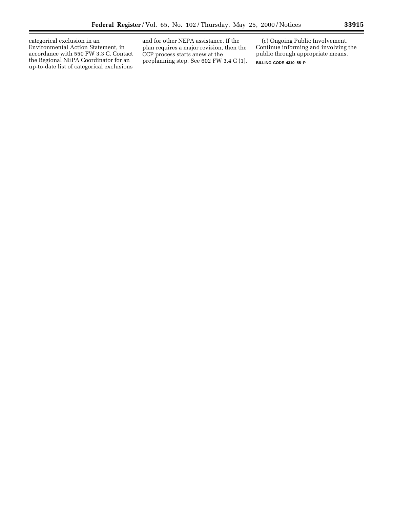categorical exclusion in an Environmental Action Statement, in accordance with 550 FW 3.3 C. Contact the Regional NEPA Coordinator for an up-to-date list of categorical exclusions

and for other NEPA assistance. If the plan requires a major revision, then the CCP process starts anew at the preplanning step. See 602 FW 3.4 C (1).

(c) Ongoing Public Involvement. Continue informing and involving the public through appropriate means.

**BILLING CODE 4310–55–P**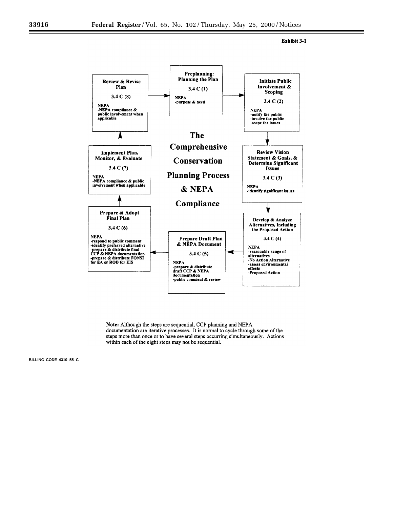Exhibit 3-1



Note: Although the steps are sequential, CCP planning and NEPA documentation are iterative processes. It is normal to cycle through some of the steps more than once or to have several steps occurring simultaneously. Actions within each of the eight steps may not be sequential.

**BILLING CODE 4310–55–C**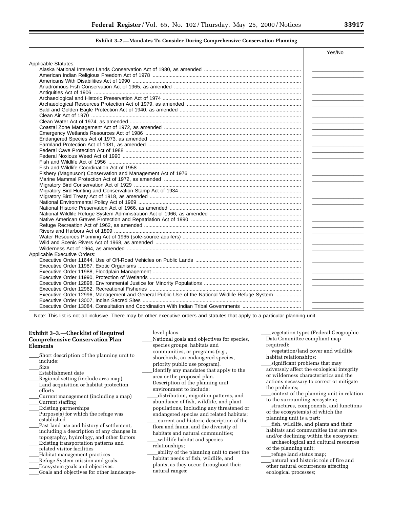#### **Exhibit 3–2.—Mandates To Consider During Comprehensive Conservation Planning**

| Applicable Statutes:<br><u>and the state of the state of the state of the state</u><br><u> 1989 - Johann Stoff, fransk politik (d. 1989)</u><br><u> Alexandria de la contrada de la contrada de la contrada de la contrada de la contrada de la contrada de la c</u> |
|----------------------------------------------------------------------------------------------------------------------------------------------------------------------------------------------------------------------------------------------------------------------|
|                                                                                                                                                                                                                                                                      |
|                                                                                                                                                                                                                                                                      |
|                                                                                                                                                                                                                                                                      |
|                                                                                                                                                                                                                                                                      |
|                                                                                                                                                                                                                                                                      |
|                                                                                                                                                                                                                                                                      |
|                                                                                                                                                                                                                                                                      |
|                                                                                                                                                                                                                                                                      |
|                                                                                                                                                                                                                                                                      |
|                                                                                                                                                                                                                                                                      |
|                                                                                                                                                                                                                                                                      |
|                                                                                                                                                                                                                                                                      |
|                                                                                                                                                                                                                                                                      |
|                                                                                                                                                                                                                                                                      |
|                                                                                                                                                                                                                                                                      |
|                                                                                                                                                                                                                                                                      |
|                                                                                                                                                                                                                                                                      |
|                                                                                                                                                                                                                                                                      |
|                                                                                                                                                                                                                                                                      |
|                                                                                                                                                                                                                                                                      |
|                                                                                                                                                                                                                                                                      |
|                                                                                                                                                                                                                                                                      |
|                                                                                                                                                                                                                                                                      |
|                                                                                                                                                                                                                                                                      |
|                                                                                                                                                                                                                                                                      |
|                                                                                                                                                                                                                                                                      |
|                                                                                                                                                                                                                                                                      |
|                                                                                                                                                                                                                                                                      |
|                                                                                                                                                                                                                                                                      |
|                                                                                                                                                                                                                                                                      |
|                                                                                                                                                                                                                                                                      |
|                                                                                                                                                                                                                                                                      |
|                                                                                                                                                                                                                                                                      |
|                                                                                                                                                                                                                                                                      |
| <b>Applicable Executive Orders:</b>                                                                                                                                                                                                                                  |
|                                                                                                                                                                                                                                                                      |
|                                                                                                                                                                                                                                                                      |
|                                                                                                                                                                                                                                                                      |
|                                                                                                                                                                                                                                                                      |
|                                                                                                                                                                                                                                                                      |
| the control of the control of the control of                                                                                                                                                                                                                         |
| Executive Order 12996, Management and General Public Use of the National Wildlife Refuge System                                                                                                                                                                      |
|                                                                                                                                                                                                                                                                      |
|                                                                                                                                                                                                                                                                      |

Note: This list is not all inclusive. There may be other executive orders and statutes that apply to a particular planning unit.

#### **Exhibit 3–3.—Checklist of Required Comprehensive Conservation Plan Elements**

- Short description of the planning unit to include:
- Size
- Establishment date
- Regional setting (include area map)
- Land acquisition or habitat protection efforts
- Current management (including a map) Current staffing
- **Existing partnerships**
- Purpose(s) for which the refuge was established
- Past land use and history of settlement, including a description of any changes in topography, hydrology, and other factors **Existing transportation patterns and** related visitor facilities
- llHabitat management practices
- Refuge System mission and goals.
- Ecosystem goals and objectives.
- Goals and objectives for other landscape-

level plans.

- National goals and objectives for species, species groups, habitats and communities, or programs (*e.g.,* shorebirds, an endangered species, priority public use program). Identify any mandates that apply to the area or the proposed plan. Description of the planning unit environment to include: distribution, migration patterns, and abundance of fish, wildlife, and plant populations, including any threatened or endangered species and related habitats;  $l$  current and historic description of the flora and fauna, and the diversity of
- habitats and natural communities; wildlife habitat and species relationships;
- ability of the planning unit to meet the habitat needs of fish, wildlife, and plants, as they occur throughout their natural ranges;
- vegetation types (Federal Geographic Data Committee compliant map required);
- vegetation/land cover and wildlife habitat relationships;
- significant problems that may adversely affect the ecological integrity or wilderness characteristics and the actions necessary to correct or mitigate the problems;
- context of the planning unit in relation to the surrounding ecosystem;
- structures, components, and functions of the ecosystem(s) of which the planning unit is a part;
- fish, wildlife, and plants and their habitats and communities that are rare and/or declining within the ecosystem; archaeological and cultural resources of the planning unit;
- refuge land status map;
- natural and historic role of fire and other natural occurrences affecting ecological processes;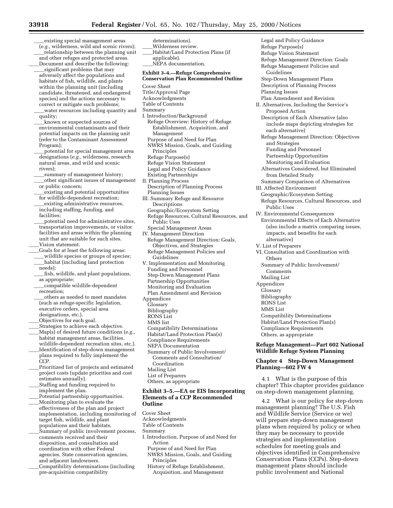determinations).

existing special management areas (*e.g.,* wilderness, wild and scenic rivers); relationship between the planning unit and other refuges and protected areas. Document and describe the following: significant problems that may adversely affect the populations and habitats of fish, wildlife, and plants within the planning unit (including candidate, threatened, and endangered species) and the actions necessary to correct or mitigate such problems; water resources including quantity and quality; known or suspected sources of environmental contaminants and their potential impacts on the planning unit (refer to the Contaminant Assessment Program); potential for special management area designations (*e.g.,* wilderness, research natural areas, and wild and scenic rivers); summary of management history; other significant issues of management\_ or public concern; existing and potential opportunities for wildlife-dependent recreation; existing administrative resources, including staffing, funding, and facilities; potential need for administrative sites, transportation improvements, or visitor facilities and areas within the planning unit that are suitable for such sites. Vision statement. LGoals for at least the following areas: wildlife species or groups of species; habitat (including land protection needs); fish, wildlife, and plant populations, as appropriate; \_compatible wildlife-dependent recreation; others as needed to meet mandates (such as refuge-specific legislation,

- executive orders, special area designations, etc.). Objectives for each goal.
- 
- Strategies to achieve each objective. Map(s) of desired future conditions (e.g., habitat management areas, facilities, wildlife-dependent recreation sites, etc.).
- Identification of step-down management plans required to fully implement the CCP.
- Prioritized list of projects and estimated project costs (update priorities and cost estimates annually).
- Staffing and funding required to implement the plan.
- Potential partnership opportunities. Monitoring plan to evaluate the
- effectiveness of the plan and project implementation, including monitoring of target fish, wildlife, and plant populations and their habitats.
- Summary of public involvement process, comments received and their disposition, and consultation and coordination with other Federal agencies, State conservation agencies, and adjacent landowners.
- Compatibility determinations (including pre-acquisition compatibility

Wilderness review. Habitat/Land Protection Plans (if applicable). NEPA documentation. **Exhibit 3–4.—Refuge Comprehensive Conservation Plan Recommended Outline** Cover Sheet Title/Approval Page Acknowledgments Table of Contents Summary I. Introduction/Background Refuge Overview: History of Refuge Establishment, Acquisition, and Management Purpose of and Need for Plan NWRS Mission, Goals, and Guiding Principles Refuge Purpose(s) Refuge Vision Statement Legal and Policy Guidance Existing Partnerships II. Planning Process Description of Planning Process Planning Issues III. Summary Refuge and Resource Descriptions Geographic/Ecosystem Setting Refuge Resources, Cultural Resources, and Public Uses Special Management Areas IV. Management Direction Refuge Management Direction: Goals, Objectives, and Strategies Refuge Management Policies and Guidelines V. Implementation and Monitoring Funding and Personnel Step-Down Management Plans Partnership Opportunities Monitoring and Evaluation Plan Amendment and Revision Appendices Glossary Bibliography RONS List MMS list Compatibility Determinations Habitat/Land Protection Plan(s) Compliance Requirements NEPA Documentation Summary of Public Involvement/ Comments and Consultation/ Coordination Mailing List List of Preparers Others, as appropriate **Exhibit 3–5.—EA or EIS Incorporating**

### **Elements of a CCP Recommended Outline**

Cover Sheet

- Acknowledgments Table of Contents
- Summary
- I. Introduction, Purpose of and Need for Action

Purpose of and Need for Plan

- NWRS Mission, Goals, and Guiding Principles
- History of Refuge Establishment, Acquisition, and Management

Legal and Policy Guidance Refuge Purpose(s) Refuge Vision Statement Refuge Management Direction: Goals Refuge Management Policies and Guidelines Step-Down Management Plans Description of Planning Process Planning Issues Plan Amendment and Revision II. Alternatives, Including the Service's Proposed Action Description of Each Alternative (also include maps depicting strategies for each alternative) Refuge Management Direction: Objectives and Strategies Funding and Personnel Partnership Opportunities Monitoring and Evaluation Alternatives Considered, but Eliminated from Detailed Study Summary Comparison of Alternatives III. Affected Environment Geographic/Ecosystem Setting Refuge Resources, Cultural Resources, and Public Uses IV. Environmental Consequences Environmental Effects of Each Alternative (also include a matrix comparing issues, impacts, and benefits for each alternative) V. List of Preparers VI. Consultation and Coordination with **Others** Summary of Public Involvement/ Comments Mailing List Appendices Glossary Bibliography RONS List MMS List Compatibility Determinations Habitat/Land Protection Plan(s) Compliance Requirements Others, as appropriate

#### **Refuge Management—Part 602 National Wildlife Refuge System Planning**

#### **Chapter 4 Step-Down Management Planning—602 FW 4**

4.1 What is the purpose of this chapter? This chapter provides guidance on step-down management planning.

4.2 What is our policy for step-down management planning? The U.S. Fish and Wildlife Service (Service or we) will prepare step-down management plans when required by policy or when they may be necessary to provide strategies and implementation schedules for meeting goals and objectives identified in Comprehensive Conservation Plans (CCPs). Step-down management plans should include public involvement and National